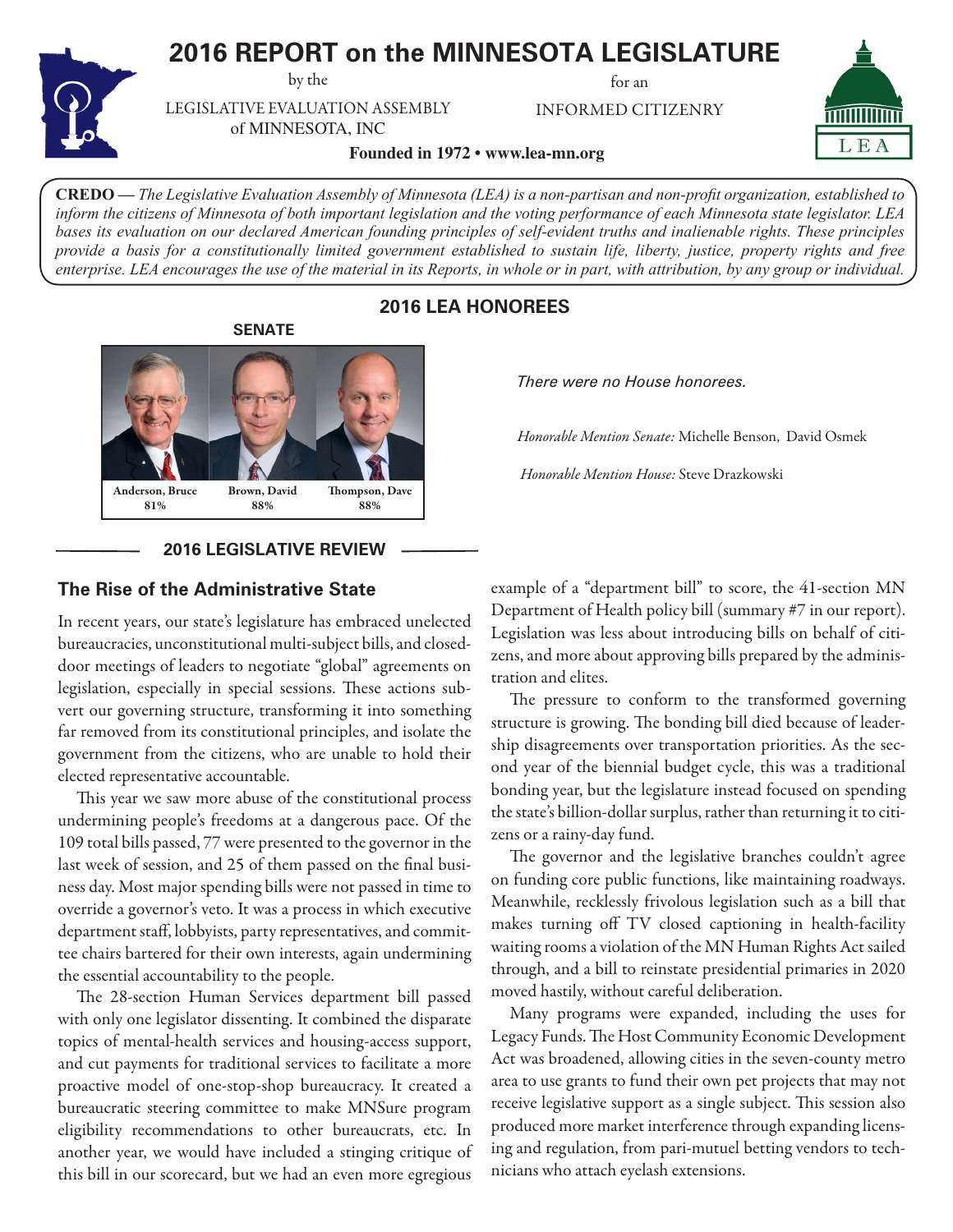# **2016 REPORT on the MINNESOTA LEGISLATURE**

by the

for an

INFORMED CITIZENRY



LEGISLATIVE EVALUATION ASSEMBLY of MINNESOTA, INC

**Founded in 1972 • www.lea-mn.org**

**CREDO —** *The Legislative Evaluation Assembly of Minnesota (LEA) is a non-partisan and non-profit organization, established to inform the citizens of Minnesota of both important legislation and the voting performance of each Minnesota state legislator. LEA bases its evaluation on our declared American founding principles of self-evident truths and inalienable rights. These principles provide a basis for a constitutionally limited government established to sustain life, liberty, justice, property rights and free enterprise. LEA encourages the use of the material in its Reports, in whole or in part, with attribution, by any group or individual.*

# **2016 LEA HONOREES**



## **2016 LEGISLATIVE REVIEW**

## **The Rise of the Administrative State**

In recent years, our state's legislature has embraced unelected bureaucracies, unconstitutional multi-subject bills, and closeddoor meetings of leaders to negotiate "global" agreements on legislation, especially in special sessions. These actions subvert our governing structure, transforming it into something far removed from its constitutional principles, and isolate the government from the citizens, who are unable to hold their elected representative accountable.

This year we saw more abuse of the constitutional process undermining people's freedoms at a dangerous pace. Of the 109 total bills passed, 77 were presented to the governor in the last week of session, and 25 of them passed on the final business day. Most major spending bills were not passed in time to override a governor's veto. It was a process in which executive department staff, lobbyists, party representatives, and committee chairs bartered for their own interests, again undermining the essential accountability to the people.

The 28-section Human Services department bill passed with only one legislator dissenting. It combined the disparate topics of mental-health services and housing-access support, and cut payments for traditional services to facilitate a more proactive model of one-stop-shop bureaucracy. It created a bureaucratic steering committee to make MNSure program eligibility recommendations to other bureaucrats, etc. In another year, we would have included a stinging critique of this bill in our scorecard, but we had an even more egregious *There were no House honorees.*

*Honorable Mention Senate:* Michelle Benson, David Osmek

*Honorable Mention House:* Steve Drazkowski

example of a "department bill" to score, the 41-section MN Department of Health policy bill (summary #7 in our report). Legislation was less about introducing bills on behalf of citizens, and more about approving bills prepared by the administration and elites.

The pressure to conform to the transformed governing structure is growing. The bonding bill died because of leadership disagreements over transportation priorities. As the second year of the biennial budget cycle, this was a traditional bonding year, but the legislature instead focused on spending the state's billion-dollar surplus, rather than returning it to citizens or a rainy-day fund.

The governor and the legislative branches couldn't agree on funding core public functions, like maintaining roadways. Meanwhile, recklessly frivolous legislation such as a bill that makes turning off TV closed captioning in health-facility waiting rooms a violation of the MN Human Rights Act sailed through, and a bill to reinstate presidential primaries in 2020 moved hastily, without careful deliberation.

Many programs were expanded, including the uses for Legacy Funds. The Host Community Economic Development Act was broadened, allowing cities in the seven-county metro area to use grants to fund their own pet projects that may not receive legislative support as a single subject. This session also produced more market interference through expanding licensing and regulation, from pari-mutuel betting vendors to technicians who attach eyelash extensions.

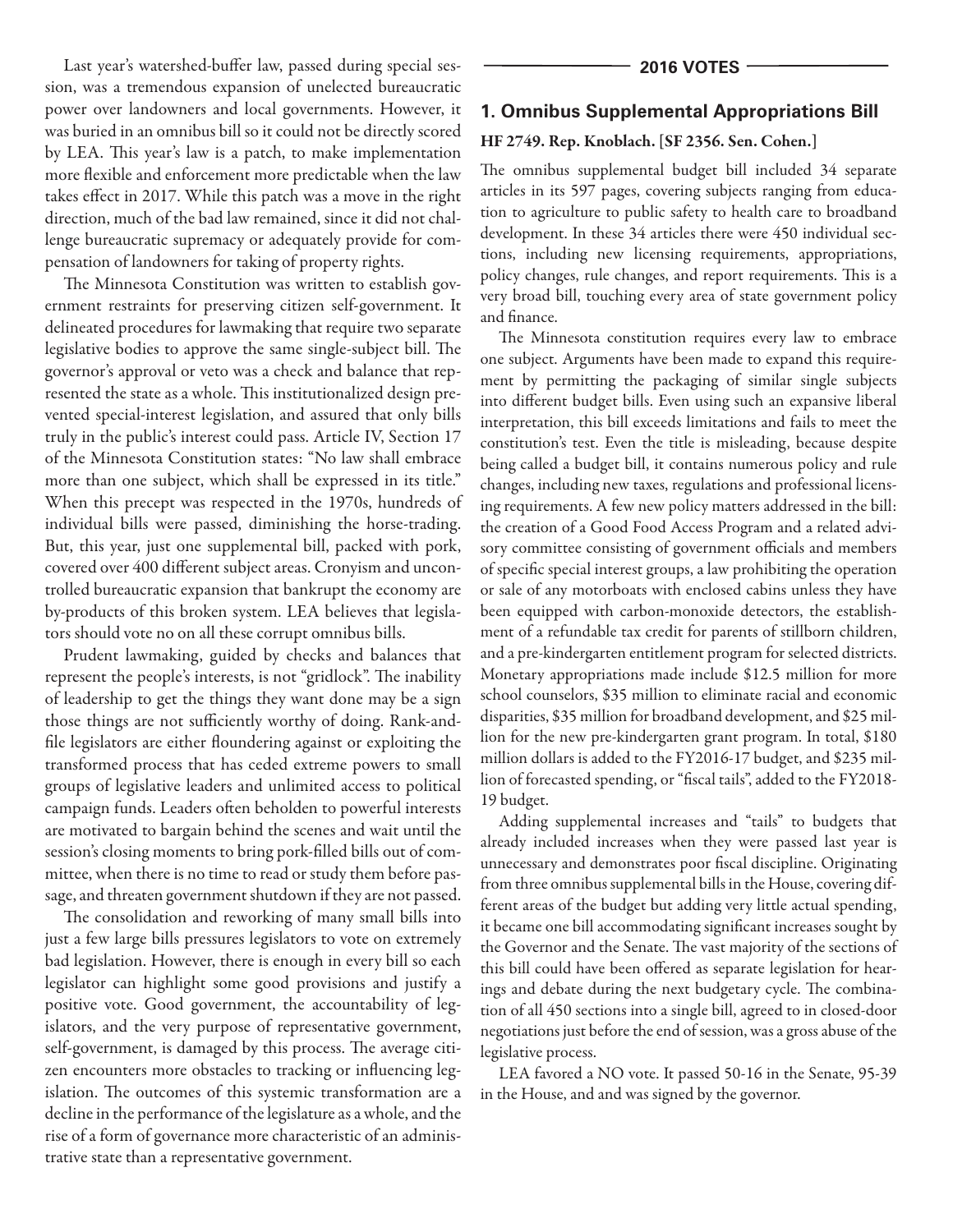Last year's watershed-buffer law, passed during special session, was a tremendous expansion of unelected bureaucratic power over landowners and local governments. However, it was buried in an omnibus bill so it could not be directly scored by LEA. This year's law is a patch, to make implementation more flexible and enforcement more predictable when the law takes effect in 2017. While this patch was a move in the right direction, much of the bad law remained, since it did not challenge bureaucratic supremacy or adequately provide for compensation of landowners for taking of property rights.

The Minnesota Constitution was written to establish government restraints for preserving citizen self-government. It delineated procedures for lawmaking that require two separate legislative bodies to approve the same single-subject bill. The governor's approval or veto was a check and balance that represented the state as a whole. This institutionalized design prevented special-interest legislation, and assured that only bills truly in the public's interest could pass. Article IV, Section 17 of the Minnesota Constitution states: "No law shall embrace more than one subject, which shall be expressed in its title." When this precept was respected in the 1970s, hundreds of individual bills were passed, diminishing the horse-trading. But, this year, just one supplemental bill, packed with pork, covered over 400 different subject areas. Cronyism and uncontrolled bureaucratic expansion that bankrupt the economy are by-products of this broken system. LEA believes that legislators should vote no on all these corrupt omnibus bills.

Prudent lawmaking, guided by checks and balances that represent the people's interests, is not "gridlock". The inability of leadership to get the things they want done may be a sign those things are not sufficiently worthy of doing. Rank-andfile legislators are either floundering against or exploiting the transformed process that has ceded extreme powers to small groups of legislative leaders and unlimited access to political campaign funds. Leaders often beholden to powerful interests are motivated to bargain behind the scenes and wait until the session's closing moments to bring pork-filled bills out of committee, when there is no time to read or study them before passage, and threaten government shutdown if they are not passed.

The consolidation and reworking of many small bills into just a few large bills pressures legislators to vote on extremely bad legislation. However, there is enough in every bill so each legislator can highlight some good provisions and justify a positive vote. Good government, the accountability of legislators, and the very purpose of representative government, self-government, is damaged by this process. The average citizen encounters more obstacles to tracking or influencing legislation. The outcomes of this systemic transformation are a decline in the performance of the legislature as a whole, and the rise of a form of governance more characteristic of an administrative state than a representative government.

## **1. Omnibus Supplemental Appropriations Bill**

## HF 2749. Rep. Knoblach. [SF 2356. Sen. Cohen.]

The omnibus supplemental budget bill included 34 separate articles in its 597 pages, covering subjects ranging from education to agriculture to public safety to health care to broadband development. In these 34 articles there were 450 individual sections, including new licensing requirements, appropriations, policy changes, rule changes, and report requirements. This is a very broad bill, touching every area of state government policy and finance.

The Minnesota constitution requires every law to embrace one subject. Arguments have been made to expand this requirement by permitting the packaging of similar single subjects into different budget bills. Even using such an expansive liberal interpretation, this bill exceeds limitations and fails to meet the constitution's test. Even the title is misleading, because despite being called a budget bill, it contains numerous policy and rule changes, including new taxes, regulations and professional licensing requirements. A few new policy matters addressed in the bill: the creation of a Good Food Access Program and a related advisory committee consisting of government officials and members of specific special interest groups, a law prohibiting the operation or sale of any motorboats with enclosed cabins unless they have been equipped with carbon-monoxide detectors, the establishment of a refundable tax credit for parents of stillborn children, and a pre-kindergarten entitlement program for selected districts. Monetary appropriations made include \$12.5 million for more school counselors, \$35 million to eliminate racial and economic disparities, \$35 million for broadband development, and \$25 million for the new pre-kindergarten grant program. In total, \$180 million dollars is added to the FY2016-17 budget, and \$235 million of forecasted spending, or "fiscal tails", added to the FY2018- 19 budget.

Adding supplemental increases and "tails" to budgets that already included increases when they were passed last year is unnecessary and demonstrates poor fiscal discipline. Originating from three omnibus supplemental bills in the House, covering different areas of the budget but adding very little actual spending, it became one bill accommodating significant increases sought by the Governor and the Senate. The vast majority of the sections of this bill could have been offered as separate legislation for hearings and debate during the next budgetary cycle. The combination of all 450 sections into a single bill, agreed to in closed-door negotiations just before the end of session, was a gross abuse of the legislative process.

LEA favored a NO vote. It passed 50-16 in the Senate, 95-39 in the House, and and was signed by the governor.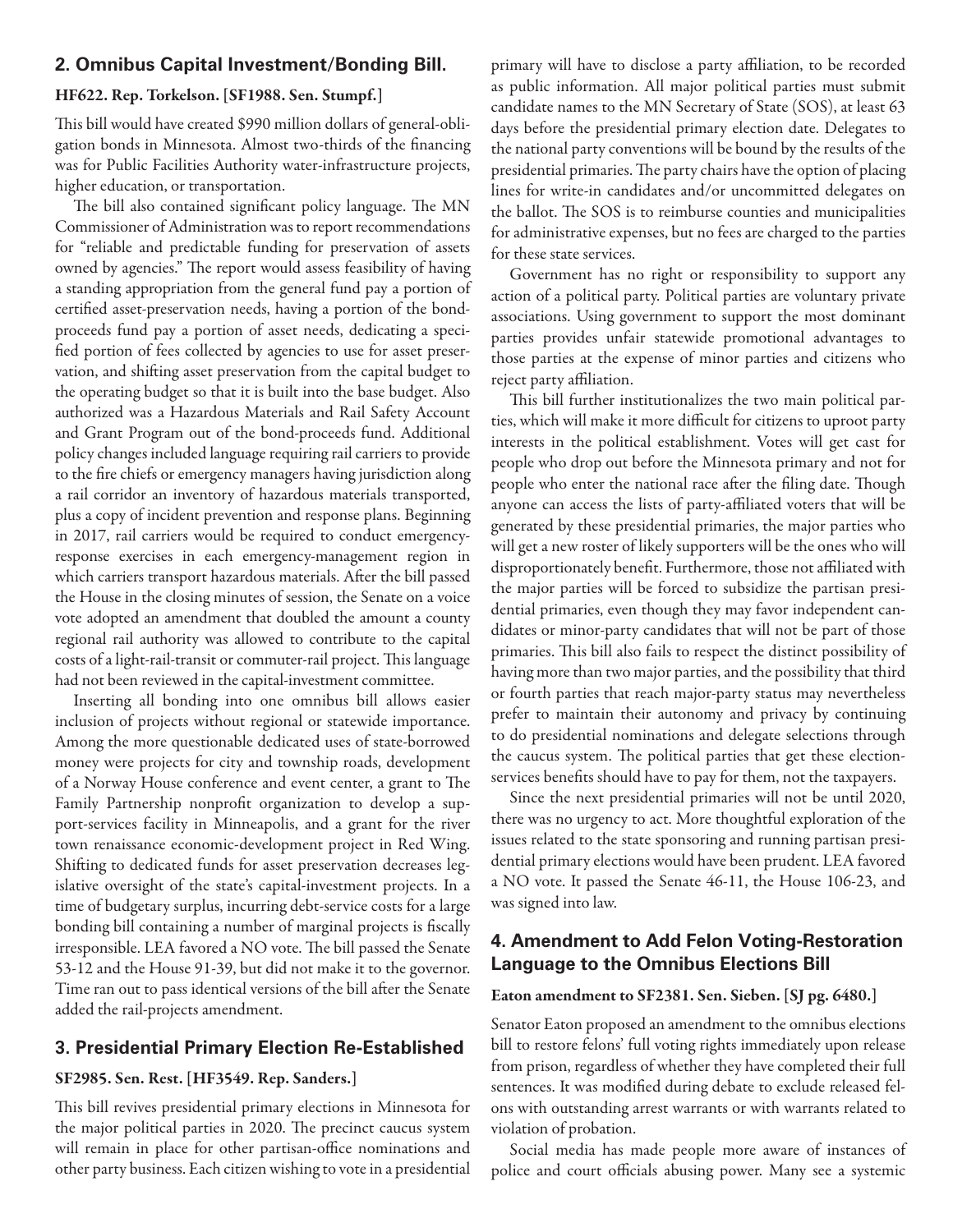## **2. Omnibus Capital Investment/Bonding Bill.**

### HF622. Rep. Torkelson. [SF1988. Sen. Stumpf.]

This bill would have created \$990 million dollars of general-obligation bonds in Minnesota. Almost two-thirds of the financing was for Public Facilities Authority water-infrastructure projects, higher education, or transportation.

The bill also contained significant policy language. The MN Commissioner of Administration was to report recommendations for "reliable and predictable funding for preservation of assets owned by agencies." The report would assess feasibility of having a standing appropriation from the general fund pay a portion of certified asset-preservation needs, having a portion of the bondproceeds fund pay a portion of asset needs, dedicating a specified portion of fees collected by agencies to use for asset preservation, and shifting asset preservation from the capital budget to the operating budget so that it is built into the base budget. Also authorized was a Hazardous Materials and Rail Safety Account and Grant Program out of the bond-proceeds fund. Additional policy changes included language requiring rail carriers to provide to the fire chiefs or emergency managers having jurisdiction along a rail corridor an inventory of hazardous materials transported, plus a copy of incident prevention and response plans. Beginning in 2017, rail carriers would be required to conduct emergencyresponse exercises in each emergency-management region in which carriers transport hazardous materials. After the bill passed the House in the closing minutes of session, the Senate on a voice vote adopted an amendment that doubled the amount a county regional rail authority was allowed to contribute to the capital costs of a light-rail-transit or commuter-rail project. This language had not been reviewed in the capital-investment committee.

Inserting all bonding into one omnibus bill allows easier inclusion of projects without regional or statewide importance. Among the more questionable dedicated uses of state-borrowed money were projects for city and township roads, development of a Norway House conference and event center, a grant to The Family Partnership nonprofit organization to develop a support-services facility in Minneapolis, and a grant for the river town renaissance economic-development project in Red Wing. Shifting to dedicated funds for asset preservation decreases legislative oversight of the state's capital-investment projects. In a time of budgetary surplus, incurring debt-service costs for a large bonding bill containing a number of marginal projects is fiscally irresponsible. LEA favored a NO vote. The bill passed the Senate 53-12 and the House 91-39, but did not make it to the governor. Time ran out to pass identical versions of the bill after the Senate added the rail-projects amendment.

## **3. Presidential Primary Election Re-Established**

## SF2985. Sen. Rest. [HF3549. Rep. Sanders.]

This bill revives presidential primary elections in Minnesota for the major political parties in 2020. The precinct caucus system will remain in place for other partisan-office nominations and other party business. Each citizen wishing to vote in a presidential

primary will have to disclose a party affiliation, to be recorded as public information. All major political parties must submit candidate names to the MN Secretary of State (SOS), at least 63 days before the presidential primary election date. Delegates to the national party conventions will be bound by the results of the presidential primaries. The party chairs have the option of placing lines for write-in candidates and/or uncommitted delegates on the ballot. The SOS is to reimburse counties and municipalities for administrative expenses, but no fees are charged to the parties for these state services.

Government has no right or responsibility to support any action of a political party. Political parties are voluntary private associations. Using government to support the most dominant parties provides unfair statewide promotional advantages to those parties at the expense of minor parties and citizens who reject party affiliation.

This bill further institutionalizes the two main political parties, which will make it more difficult for citizens to uproot party interests in the political establishment. Votes will get cast for people who drop out before the Minnesota primary and not for people who enter the national race after the filing date. Though anyone can access the lists of party-affiliated voters that will be generated by these presidential primaries, the major parties who will get a new roster of likely supporters will be the ones who will disproportionately benefit. Furthermore, those not affiliated with the major parties will be forced to subsidize the partisan presidential primaries, even though they may favor independent candidates or minor-party candidates that will not be part of those primaries. This bill also fails to respect the distinct possibility of having more than two major parties, and the possibility that third or fourth parties that reach major-party status may nevertheless prefer to maintain their autonomy and privacy by continuing to do presidential nominations and delegate selections through the caucus system. The political parties that get these electionservices benefits should have to pay for them, not the taxpayers.

Since the next presidential primaries will not be until 2020, there was no urgency to act. More thoughtful exploration of the issues related to the state sponsoring and running partisan presidential primary elections would have been prudent. LEA favored a NO vote. It passed the Senate 46-11, the House 106-23, and was signed into law.

## **4. Amendment to Add Felon Voting-Restoration Language to the Omnibus Elections Bill**

### Eaton amendment to SF2381. Sen. Sieben. [SJ pg. 6480.]

Senator Eaton proposed an amendment to the omnibus elections bill to restore felons' full voting rights immediately upon release from prison, regardless of whether they have completed their full sentences. It was modified during debate to exclude released felons with outstanding arrest warrants or with warrants related to violation of probation.

Social media has made people more aware of instances of police and court officials abusing power. Many see a systemic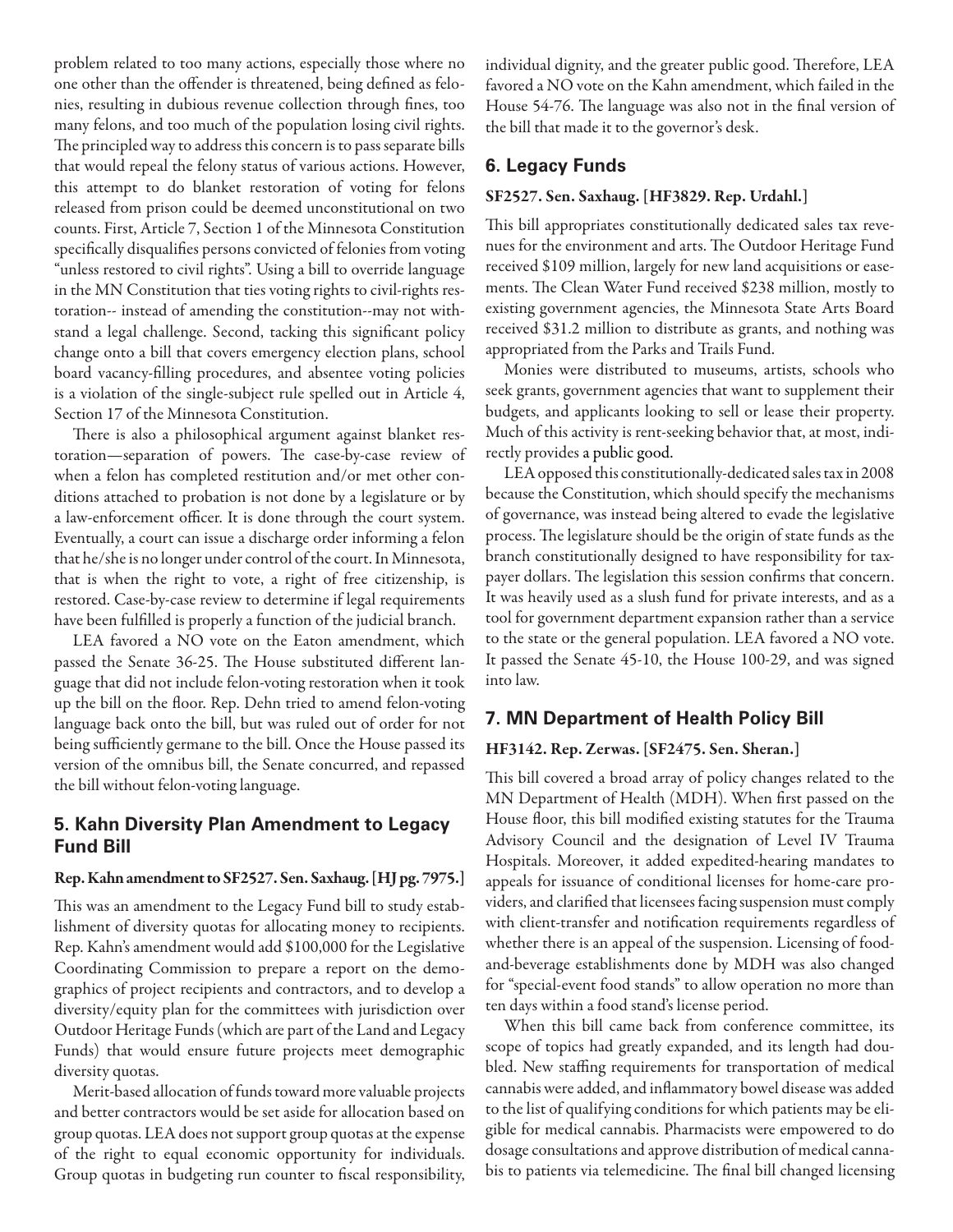problem related to too many actions, especially those where no one other than the offender is threatened, being defined as felonies, resulting in dubious revenue collection through fines, too many felons, and too much of the population losing civil rights. The principled way to address this concern is to pass separate bills that would repeal the felony status of various actions. However, this attempt to do blanket restoration of voting for felons released from prison could be deemed unconstitutional on two counts. First, Article 7, Section 1 of the Minnesota Constitution specifically disqualifies persons convicted of felonies from voting "unless restored to civil rights". Using a bill to override language in the MN Constitution that ties voting rights to civil-rights restoration-- instead of amending the constitution--may not withstand a legal challenge. Second, tacking this significant policy change onto a bill that covers emergency election plans, school board vacancy-filling procedures, and absentee voting policies is a violation of the single-subject rule spelled out in Article 4, Section 17 of the Minnesota Constitution.

There is also a philosophical argument against blanket restoration—separation of powers. The case-by-case review of when a felon has completed restitution and/or met other conditions attached to probation is not done by a legislature or by a law-enforcement officer. It is done through the court system. Eventually, a court can issue a discharge order informing a felon that he/she is no longer under control of the court. In Minnesota, that is when the right to vote, a right of free citizenship, is restored. Case-by-case review to determine if legal requirements have been fulfilled is properly a function of the judicial branch.

LEA favored a NO vote on the Eaton amendment, which passed the Senate 36-25. The House substituted different language that did not include felon-voting restoration when it took up the bill on the floor. Rep. Dehn tried to amend felon-voting language back onto the bill, but was ruled out of order for not being sufficiently germane to the bill. Once the House passed its version of the omnibus bill, the Senate concurred, and repassed the bill without felon-voting language.

## **5. Kahn Diversity Plan Amendment to Legacy Fund Bill**

### Rep. Kahn amendment to SF2527. Sen. Saxhaug. [HJ pg. 7975.]

This was an amendment to the Legacy Fund bill to study establishment of diversity quotas for allocating money to recipients. Rep. Kahn's amendment would add \$100,000 for the Legislative Coordinating Commission to prepare a report on the demographics of project recipients and contractors, and to develop a diversity/equity plan for the committees with jurisdiction over Outdoor Heritage Funds (which are part of the Land and Legacy Funds) that would ensure future projects meet demographic diversity quotas.

Merit-based allocation of funds toward more valuable projects and better contractors would be set aside for allocation based on group quotas. LEA does not support group quotas at the expense of the right to equal economic opportunity for individuals. Group quotas in budgeting run counter to fiscal responsibility,

individual dignity, and the greater public good. Therefore, LEA favored a NO vote on the Kahn amendment, which failed in the House 54-76. The language was also not in the final version of the bill that made it to the governor's desk.

### **6. Legacy Funds**

### SF2527. Sen. Saxhaug. [HF3829. Rep. Urdahl.]

This bill appropriates constitutionally dedicated sales tax revenues for the environment and arts. The Outdoor Heritage Fund received \$109 million, largely for new land acquisitions or easements. The Clean Water Fund received \$238 million, mostly to existing government agencies, the Minnesota State Arts Board received \$31.2 million to distribute as grants, and nothing was appropriated from the Parks and Trails Fund.

Monies were distributed to museums, artists, schools who seek grants, government agencies that want to supplement their budgets, and applicants looking to sell or lease their property. Much of this activity is rent-seeking behavior that, at most, indirectly provides a public good.

LEA opposed this constitutionally-dedicated sales tax in 2008 because the Constitution, which should specify the mechanisms of governance, was instead being altered to evade the legislative process. The legislature should be the origin of state funds as the branch constitutionally designed to have responsibility for taxpayer dollars. The legislation this session confirms that concern. It was heavily used as a slush fund for private interests, and as a tool for government department expansion rather than a service to the state or the general population. LEA favored a NO vote. It passed the Senate 45-10, the House 100-29, and was signed into law.

## **7. MN Department of Health Policy Bill**

### HF3142. Rep. Zerwas. [SF2475. Sen. Sheran.]

This bill covered a broad array of policy changes related to the MN Department of Health (MDH). When first passed on the House floor, this bill modified existing statutes for the Trauma Advisory Council and the designation of Level IV Trauma Hospitals. Moreover, it added expedited-hearing mandates to appeals for issuance of conditional licenses for home-care providers, and clarified that licensees facing suspension must comply with client-transfer and notification requirements regardless of whether there is an appeal of the suspension. Licensing of foodand-beverage establishments done by MDH was also changed for "special-event food stands" to allow operation no more than ten days within a food stand's license period.

When this bill came back from conference committee, its scope of topics had greatly expanded, and its length had doubled. New staffing requirements for transportation of medical cannabis were added, and inflammatory bowel disease was added to the list of qualifying conditions for which patients may be eligible for medical cannabis. Pharmacists were empowered to do dosage consultations and approve distribution of medical cannabis to patients via telemedicine. The final bill changed licensing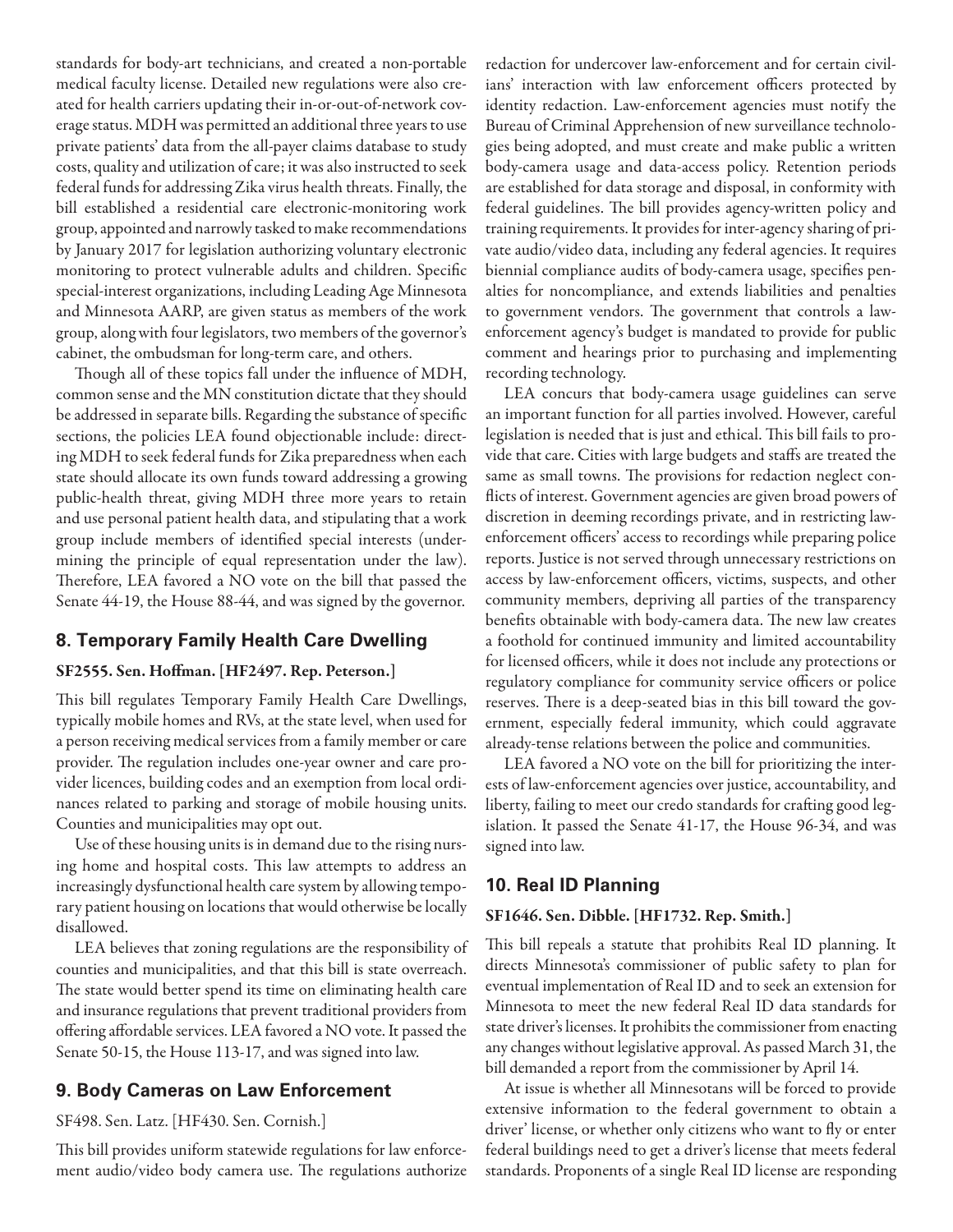standards for body-art technicians, and created a non-portable medical faculty license. Detailed new regulations were also created for health carriers updating their in-or-out-of-network coverage status. MDH was permitted an additional three years to use private patients' data from the all-payer claims database to study costs, quality and utilization of care; it was also instructed to seek federal funds for addressing Zika virus health threats. Finally, the bill established a residential care electronic-monitoring work group, appointed and narrowly tasked to make recommendations by January 2017 for legislation authorizing voluntary electronic monitoring to protect vulnerable adults and children. Specific special-interest organizations, including Leading Age Minnesota and Minnesota AARP, are given status as members of the work group, along with four legislators, two members of the governor's cabinet, the ombudsman for long-term care, and others.

Though all of these topics fall under the influence of MDH, common sense and the MN constitution dictate that they should be addressed in separate bills. Regarding the substance of specific sections, the policies LEA found objectionable include: directing MDH to seek federal funds for Zika preparedness when each state should allocate its own funds toward addressing a growing public-health threat, giving MDH three more years to retain and use personal patient health data, and stipulating that a work group include members of identified special interests (undermining the principle of equal representation under the law). Therefore, LEA favored a NO vote on the bill that passed the Senate 44-19, the House 88-44, and was signed by the governor.

## **8. Temporary Family Health Care Dwelling**

## SF2555. Sen. Hoffman. [HF2497. Rep. Peterson.]

This bill regulates Temporary Family Health Care Dwellings, typically mobile homes and RVs, at the state level, when used for a person receiving medical services from a family member or care provider. The regulation includes one-year owner and care provider licences, building codes and an exemption from local ordinances related to parking and storage of mobile housing units. Counties and municipalities may opt out.

Use of these housing units is in demand due to the rising nursing home and hospital costs. This law attempts to address an increasingly dysfunctional health care system by allowing temporary patient housing on locations that would otherwise be locally disallowed.

LEA believes that zoning regulations are the responsibility of counties and municipalities, and that this bill is state overreach. The state would better spend its time on eliminating health care and insurance regulations that prevent traditional providers from offering affordable services. LEA favored a NO vote. It passed the Senate 50-15, the House 113-17, and was signed into law.

## **9. Body Cameras on Law Enforcement**

### SF498. Sen. Latz. [HF430. Sen. Cornish.]

This bill provides uniform statewide regulations for law enforcement audio/video body camera use. The regulations authorize redaction for undercover law-enforcement and for certain civilians' interaction with law enforcement officers protected by identity redaction. Law-enforcement agencies must notify the Bureau of Criminal Apprehension of new surveillance technologies being adopted, and must create and make public a written body-camera usage and data-access policy. Retention periods are established for data storage and disposal, in conformity with federal guidelines. The bill provides agency-written policy and training requirements. It provides for inter-agency sharing of private audio/video data, including any federal agencies. It requires biennial compliance audits of body-camera usage, specifies penalties for noncompliance, and extends liabilities and penalties to government vendors. The government that controls a lawenforcement agency's budget is mandated to provide for public comment and hearings prior to purchasing and implementing recording technology.

LEA concurs that body-camera usage guidelines can serve an important function for all parties involved. However, careful legislation is needed that is just and ethical. This bill fails to provide that care. Cities with large budgets and staffs are treated the same as small towns. The provisions for redaction neglect conflicts of interest. Government agencies are given broad powers of discretion in deeming recordings private, and in restricting lawenforcement officers' access to recordings while preparing police reports. Justice is not served through unnecessary restrictions on access by law-enforcement officers, victims, suspects, and other community members, depriving all parties of the transparency benefits obtainable with body-camera data. The new law creates a foothold for continued immunity and limited accountability for licensed officers, while it does not include any protections or regulatory compliance for community service officers or police reserves. There is a deep-seated bias in this bill toward the government, especially federal immunity, which could aggravate already-tense relations between the police and communities.

LEA favored a NO vote on the bill for prioritizing the interests of law-enforcement agencies over justice, accountability, and liberty, failing to meet our credo standards for crafting good legislation. It passed the Senate 41-17, the House 96-34, and was signed into law.

## **10. Real ID Planning**

### SF1646. Sen. Dibble. [HF1732. Rep. Smith.]

This bill repeals a statute that prohibits Real ID planning. It directs Minnesota's commissioner of public safety to plan for eventual implementation of Real ID and to seek an extension for Minnesota to meet the new federal Real ID data standards for state driver's licenses. It prohibits the commissioner from enacting any changes without legislative approval. As passed March 31, the bill demanded a report from the commissioner by April 14.

At issue is whether all Minnesotans will be forced to provide extensive information to the federal government to obtain a driver' license, or whether only citizens who want to fly or enter federal buildings need to get a driver's license that meets federal standards. Proponents of a single Real ID license are responding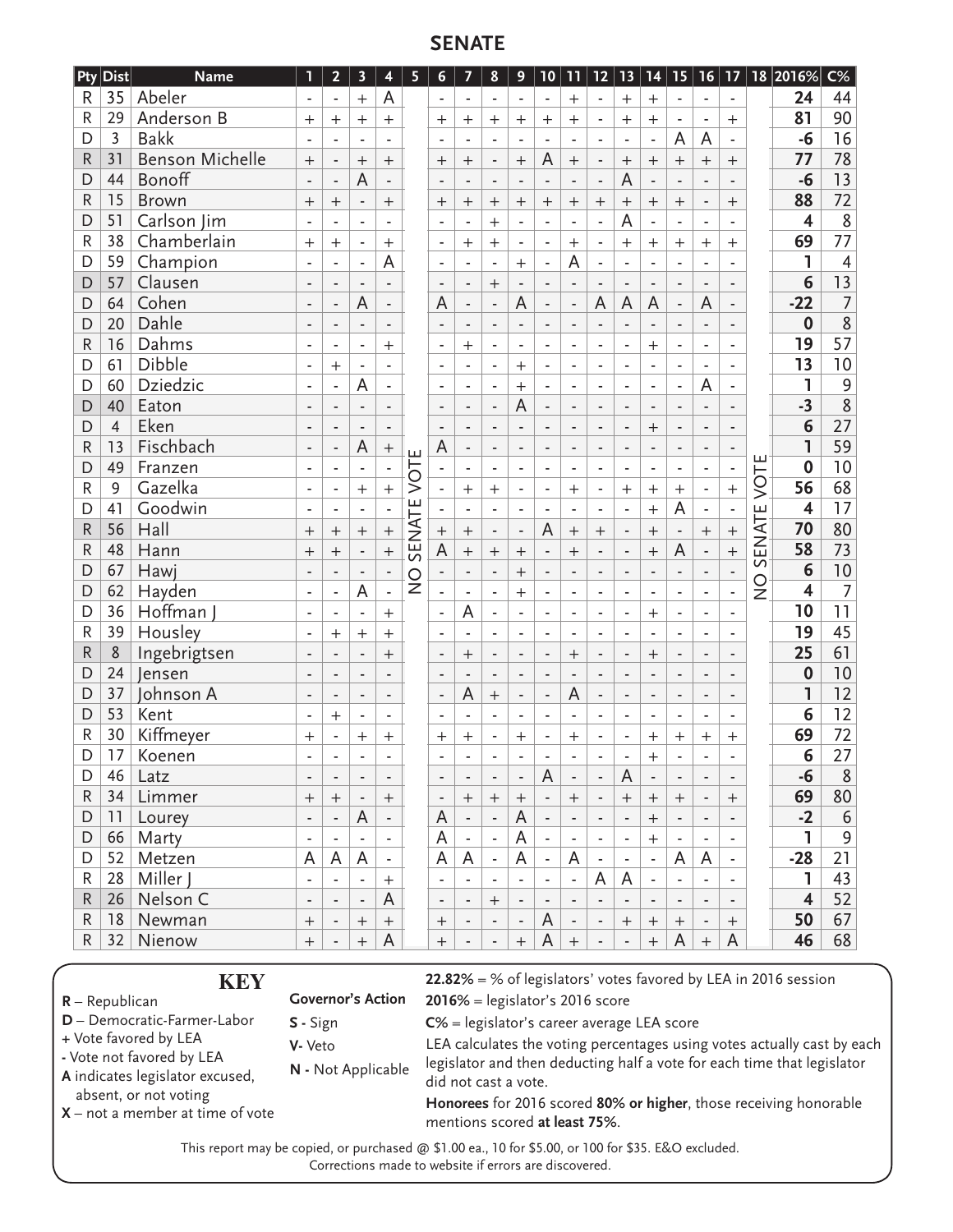## **SENATE**

| Pty          | <b>Dist</b>                                                     | <b>Name</b>                                                                                         | 1                             | $\overline{2}$           | $\overline{\mathbf{3}}$  | 4                        | 5                               | 6                                                     | 7                                                                                         | 8                            | 9                        | 10                       | 11                           | 12                       |                                            | 13 14                    |                          |                          |                              |         | $15$   16   17   18   2016%                                            | $C\%$          |                |    |  |    |    |
|--------------|-----------------------------------------------------------------|-----------------------------------------------------------------------------------------------------|-------------------------------|--------------------------|--------------------------|--------------------------|---------------------------------|-------------------------------------------------------|-------------------------------------------------------------------------------------------|------------------------------|--------------------------|--------------------------|------------------------------|--------------------------|--------------------------------------------|--------------------------|--------------------------|--------------------------|------------------------------|---------|------------------------------------------------------------------------|----------------|----------------|----|--|----|----|
| R            | 35                                                              | Abeler                                                                                              |                               |                          | $\overline{+}$           | А                        |                                 | $\overline{\phantom{a}}$                              | ÷,                                                                                        | ÷,                           | $\overline{\phantom{a}}$ | $\blacksquare$           | $^{+}$                       | $\overline{\phantom{0}}$ | $^{+}$                                     | $^{+}$                   |                          | $\blacksquare$           | $\blacksquare$               |         | 24                                                                     | 44             |                |    |  |    |    |
| $\mathsf{R}$ | 29                                                              | Anderson B                                                                                          | $^{+}$                        | $+$                      | $^{+}$                   | $^{+}$                   |                                 | $^{+}$                                                | $^{+}$                                                                                    | $^{+}$                       | $\overline{+}$           | $^{+}$                   | $^{+}$                       | $\overline{\phantom{a}}$ | $^{+}$                                     | $+$                      | $\overline{\phantom{a}}$ | $\overline{\phantom{m}}$ | $^{+}$                       |         | 81                                                                     | 90             |                |    |  |    |    |
| D            | $\overline{3}$                                                  | <b>Bakk</b>                                                                                         |                               |                          |                          |                          |                                 |                                                       |                                                                                           |                              |                          |                          |                              |                          | ÷                                          | L                        | A                        | A                        |                              |         | $-6$                                                                   | 16             |                |    |  |    |    |
| R            | 31                                                              | <b>Benson Michelle</b>                                                                              | $^{+}$                        | $\overline{a}$           | $^{+}$                   | $\ddot{}$                |                                 | $\overline{+}$                                        | $^{+}$                                                                                    | $\overline{\phantom{0}}$     | $\ddot{}$                | A                        | $\qquad \qquad +$            | $\blacksquare$           | $^{+}$                                     | $\ddot{}$                | $^{+}$                   | $^{+}$                   | $\qquad \qquad +$            |         | 77                                                                     | 78             |                |    |  |    |    |
| D            | 44                                                              | Bonoff                                                                                              |                               | $\overline{a}$           | A                        | ÷,                       |                                 |                                                       |                                                                                           | $\overline{a}$               |                          |                          |                              | $\overline{a}$           | A                                          |                          |                          | L.                       |                              |         | $-6$                                                                   | 13             |                |    |  |    |    |
| R            | 15                                                              | <b>Brown</b>                                                                                        | $^{+}$                        | $\ddot{}$                | $\overline{\phantom{a}}$ | $^{+}$                   |                                 | $\ddot{}$                                             | $\mathrm{+}$                                                                              | $^{+}$                       | $\overline{+}$           | $^{+}$                   | $\mathrm{+}$                 | $^{+}$                   | $^{+}$                                     | $\qquad \qquad +$        | $\overline{+}$           | $\overline{\phantom{m}}$ | $\hspace{0.1mm} +$           |         | 88                                                                     | 72             |                |    |  |    |    |
| D            | 51                                                              | Carlson Jim                                                                                         | $\blacksquare$                | $\overline{a}$           | L,                       | $\overline{\phantom{a}}$ |                                 |                                                       | $\overline{a}$                                                                            | $^{+}$                       | L,                       | ÷,                       | L,                           | L.                       | A                                          | ä,                       | L,                       | $\overline{\phantom{a}}$ | L,                           |         | $\overline{\mathbf{4}}$                                                | $\,8\,$        |                |    |  |    |    |
| $\mathsf{R}$ | 38                                                              | Chamberlain                                                                                         | $^{+}$                        | $^{+}$                   | ÷,                       | $^{+}$                   |                                 | $\overline{\phantom{a}}$                              | $^{+}$                                                                                    | $^{+}$                       | ÷,                       | $\overline{a}$           | $^{+}$                       | $\overline{a}$           | $\ddot{}$                                  | $^{+}$                   | $^{+}$                   | $^{+}$                   | $^{+}$                       |         | 69                                                                     | 77             |                |    |  |    |    |
| D            | 59                                                              | Champion                                                                                            | $\blacksquare$                | ä,                       | ÷,                       |                          | A                               | $\blacksquare$                                        | ۰                                                                                         | $\overline{a}$               | $^{+}$                   | $\blacksquare$           | A                            | $\blacksquare$           | $\blacksquare$                             | ä,                       | $\blacksquare$           | $\overline{\phantom{a}}$ | $\blacksquare$               |         | 1                                                                      | 4              |                |    |  |    |    |
| D            | 57                                                              | Clausen                                                                                             | $\overline{\phantom{a}}$      |                          |                          |                          |                                 | $\overline{a}$                                        |                                                                                           | $+$                          |                          | L.                       |                              | $\overline{a}$           |                                            | $\overline{a}$           |                          | L.                       |                              |         | 6                                                                      | 13             |                |    |  |    |    |
| D            | 64                                                              | Cohen                                                                                               | $\overline{\phantom{a}}$      | $\overline{\phantom{0}}$ | A                        | $\centerdot$             |                                 | A                                                     | $\overline{\phantom{a}}$                                                                  | $\overline{\phantom{0}}$     | A                        | $\frac{1}{2}$            | $\overline{a}$               | A                        | A                                          | A                        | $\overline{a}$           | A                        |                              |         | $-22$                                                                  | $\overline{7}$ |                |    |  |    |    |
| D            | 20                                                              | Dahle                                                                                               | $\overline{\phantom{a}}$      | $\overline{a}$           | $\overline{a}$           | $\frac{1}{2}$            |                                 |                                                       | $\overline{a}$                                                                            | $\overline{a}$               | $\overline{a}$           | $\overline{\phantom{0}}$ | $\overline{a}$               | $\overline{\phantom{0}}$ | ÷,                                         | $\overline{a}$           | $\overline{a}$           | $\overline{\phantom{0}}$ | $\overline{a}$               |         | 0                                                                      | $\overline{8}$ |                |    |  |    |    |
| $\mathsf{R}$ | 16                                                              | Dahms                                                                                               |                               |                          |                          |                          |                                 |                                                       |                                                                                           | L,                           |                          |                          |                              |                          |                                            |                          |                          | ÷,                       |                              |         | 19                                                                     | 57             |                |    |  |    |    |
|              | 61                                                              | Dibble                                                                                              | ٠                             |                          | ÷,                       | $^{+}$                   |                                 | ÷                                                     | $^{+}$                                                                                    |                              | ÷,                       |                          | ÷,                           | $\blacksquare$           | ÷,                                         | $^{+}$                   | ÷,                       |                          |                              |         | 13                                                                     | 10             |                |    |  |    |    |
| D            |                                                                 |                                                                                                     | $\overline{\phantom{a}}$      | $^{+}$                   | $\overline{\phantom{a}}$ | ÷,                       |                                 | $\blacksquare$                                        | $\overline{\phantom{a}}$                                                                  | ä,                           | $^{+}$                   | $\overline{\phantom{a}}$ | $\blacksquare$               | $\blacksquare$           | $\blacksquare$                             | $\overline{a}$           | $\blacksquare$           | $\overline{\phantom{a}}$ | $\blacksquare$               |         |                                                                        |                |                |    |  |    |    |
| D            | 60                                                              | Dziedzic                                                                                            | $\overline{\phantom{a}}$      | $\overline{a}$           | A                        | L,                       |                                 | $\overline{a}$                                        |                                                                                           |                              | $^{+}$                   | L.                       |                              | L.                       | L.                                         | L,                       | L,                       | A                        |                              |         |                                                                        | 9              |                |    |  |    |    |
| D            | 40                                                              | Eaton                                                                                               | $\overline{\phantom{a}}$      | $\overline{\phantom{0}}$ | $\overline{a}$           | $\overline{\phantom{m}}$ |                                 | $\blacksquare$                                        | $\overline{\phantom{a}}$                                                                  | $\overline{\phantom{0}}$     | A                        | $\overline{\phantom{m}}$ | $\overline{a}$               | $\blacksquare$           | $\overline{\phantom{a}}$                   | $\overline{\phantom{0}}$ | $\overline{a}$           | $\overline{\phantom{m}}$ | $\overline{\phantom{a}}$     |         | $-3$                                                                   | 8              |                |    |  |    |    |
| D            | $\overline{4}$                                                  | Eken                                                                                                |                               | $\overline{a}$           |                          | $\overline{\phantom{0}}$ |                                 |                                                       |                                                                                           | $\overline{a}$               |                          | ÷,                       |                              | $\overline{a}$           | $\overline{\phantom{a}}$                   | $+$                      |                          | $\blacksquare$           |                              |         | 6                                                                      | 27             |                |    |  |    |    |
| R            | 13                                                              | Fischbach                                                                                           | ٠                             |                          | A                        | $^{+}$                   |                                 | A                                                     |                                                                                           |                              | ÷                        |                          |                              | ÷                        | $\overline{\phantom{a}}$                   |                          |                          | ÷,                       | $\qquad \qquad \blacksquare$ |         | ı                                                                      | 59             |                |    |  |    |    |
| D            | 49                                                              | Franzen                                                                                             | $\overline{\phantom{a}}$      | $\overline{\phantom{0}}$ | $\overline{\phantom{a}}$ | $\blacksquare$           | VOTE                            |                                                       | ٠                                                                                         | $\overline{\phantom{0}}$     | $\blacksquare$           | $\blacksquare$           | ٠                            | $\frac{1}{2}$            | $\overline{\phantom{a}}$                   | $\overline{\phantom{0}}$ | ÷                        | $\overline{\phantom{0}}$ | $\qquad \qquad \blacksquare$ | VOTE    | $\mathbf 0$                                                            | 10             |                |    |  |    |    |
| R            | 9                                                               | Gazelka                                                                                             | $\overline{\phantom{a}}$      |                          | $^{+}$                   | $\ddot{}$                |                                 |                                                       | $^{+}$                                                                                    | $^{+}$                       | ÷,                       | ä,                       | $^{+}$                       | L.                       | $\boldsymbol{+}$                           | $^{+}$                   | $\overline{+}$           | $\overline{a}$           | $\ddot{}$                    |         | 56                                                                     | 68             |                |    |  |    |    |
| D            | 41                                                              | Goodwin                                                                                             | $\overline{\phantom{a}}$      | $\overline{\phantom{0}}$ | $\overline{\phantom{0}}$ | ÷,                       | SENATE                          |                                                       | $\overline{a}$                                                                            | ä,                           | ä,                       | $\overline{a}$           | L,                           | $\blacksquare$           | $\overline{\phantom{a}}$                   | $+$                      | A                        | $\overline{\phantom{a}}$ | $\frac{1}{2}$                | ш       | $\overline{\mathbf{4}}$                                                | 17             |                |    |  |    |    |
| R            | 56                                                              | Hall                                                                                                | $^{+}$                        | $+$                      | $^{+}$                   | $\ddot{}$                |                                 | $^{+}$                                                | $^{+}$                                                                                    | $\overline{a}$               | L,                       | A                        | $\mathrm{+}$                 | $^{+}$                   | ÷,                                         | $+$                      | L,                       | $^{+}$                   | $\ddot{}$                    | ENAT    | 70                                                                     | 80             |                |    |  |    |    |
| $\mathsf{R}$ | 48                                                              | Hann                                                                                                | $^{+}$                        | $\ddot{}$                | $\overline{a}$           | $\ddot{}$                |                                 | A                                                     | $^{+}$                                                                                    | $\ddot{}$                    | $^{+}$                   |                          | $+$                          | $\overline{a}$           | ÷,                                         | $^{+}$                   | A                        | L,                       | $\ddot{}$                    | $\sim$  | 58                                                                     | 73             |                |    |  |    |    |
| D            | 67                                                              | Hawj                                                                                                | $\overline{\phantom{a}}$      | $\overline{a}$           | ÷                        | $\frac{1}{2}$            | $\frac{0}{2}$<br>$\overline{a}$ | $\overline{\phantom{a}}$                              | ٠                                                                                         | $\overline{a}$               | $\ddot{}$                | $\overline{\phantom{m}}$ | $\overline{a}$               | $\blacksquare$           | $\overline{\phantom{a}}$                   | $\overline{a}$           | $\overline{\phantom{a}}$ | $\overline{\phantom{a}}$ | $\overline{a}$               | $\circ$ | 6                                                                      | 10             |                |    |  |    |    |
| D            | 62                                                              | Hayden                                                                                              | ٠                             | L,                       | A                        |                          |                                 |                                                       |                                                                                           |                              | $^{+}$                   | ÷,                       | ٠                            | ä,                       | $\overline{\phantom{a}}$                   | L,                       |                          | L,                       | $\overline{a}$               | ž       | 4                                                                      | 7              |                |    |  |    |    |
| D            | 36                                                              | Hoffman                                                                                             | ٠                             | ٠                        | ÷                        | $+$                      |                                 | $\overline{\phantom{0}}$                              | A                                                                                         | $\qquad \qquad \blacksquare$ | $\overline{\phantom{a}}$ | $\overline{\phantom{m}}$ | ÷                            | $\overline{\phantom{a}}$ | ٠                                          | $+$                      | ٠                        | ٠                        | $\overline{\phantom{a}}$     |         | 10                                                                     | 11             |                |    |  |    |    |
| $\mathsf{R}$ | 39                                                              | Housley                                                                                             | ÷,                            | $^{+}$                   | $^{+}$                   | $\ddot{}$                |                                 |                                                       |                                                                                           |                              |                          |                          |                              |                          | ä,                                         | ä,                       | $\overline{\phantom{a}}$ | L,                       | $\blacksquare$               | ÷,      | $\overline{a}$                                                         |                | $\overline{a}$ | ÷, |  | 19 | 45 |
| R            | 8                                                               | Ingebrigtsen                                                                                        | $\overline{\phantom{a}}$      |                          | L,                       | $^{+}$                   |                                 |                                                       | $^{+}$                                                                                    | $\overline{a}$               | $\overline{\phantom{a}}$ | ÷,                       | $\ddot{}$                    | $\blacksquare$           | $\centerdot$                               | $+$                      | ÷,                       | ÷,                       | $\overline{a}$               |         | 25                                                                     | 61             |                |    |  |    |    |
| D            | 24                                                              | Jensen                                                                                              | $\overline{\phantom{a}}$      | $\overline{\phantom{a}}$ | $\overline{a}$           | $\overline{\phantom{m}}$ |                                 | $\blacksquare$                                        | $\overline{\phantom{a}}$                                                                  | $\overline{\phantom{0}}$     | $\overline{\phantom{a}}$ | $\blacksquare$           | $\overline{a}$               | $\blacksquare$           | $\overline{\phantom{a}}$                   | $\overline{\phantom{0}}$ | $\overline{a}$           | $\overline{\phantom{m}}$ | $\overline{a}$               |         | 0                                                                      | 10             |                |    |  |    |    |
| D            | 37                                                              | Johnson A                                                                                           | $\overline{\phantom{a}}$      | L.                       | $\overline{a}$           | ÷,                       |                                 | $\overline{\phantom{a}}$                              | A                                                                                         | $\! + \!$                    | ÷                        | ÷,                       | A                            | $\overline{a}$           | $\overline{\phantom{a}}$                   | ÷,                       | $\overline{a}$           | ÷,                       | $\overline{a}$               |         | 1                                                                      | 12             |                |    |  |    |    |
| D            | 53                                                              | Kent                                                                                                | $\overline{\phantom{a}}$      | $^{+}$                   | ÷                        | $\overline{\phantom{a}}$ |                                 | $\overline{\phantom{a}}$                              | $\overline{\phantom{a}}$                                                                  | ä,                           | $\overline{\phantom{a}}$ | $\overline{a}$           | $\blacksquare$               | $\blacksquare$           | $\overline{\phantom{a}}$                   | $\overline{\phantom{0}}$ | $\blacksquare$           | $\overline{\phantom{m}}$ | ٠                            |         | 6                                                                      | 12             |                |    |  |    |    |
| R            | 30                                                              | Kiffmeyer                                                                                           | $\hspace{0.1mm} +$            |                          | $\mathrm{+}$             | $\mathrm{+}$             |                                 | $^{\mathrm{+}}$                                       | $\mathrm{+}$                                                                              | ÷,                           | $\mathrm{+}$             |                          | $\mathrm{+}$                 | ÷,                       | ٠                                          | $\overline{+}$           | $\mathrm{+}$             | $\mathrm{+}$             | $\hspace{0.1mm} +$           |         | 69                                                                     | 72             |                |    |  |    |    |
| D            | 17                                                              | Koenen                                                                                              |                               |                          |                          |                          |                                 |                                                       |                                                                                           |                              |                          |                          |                              |                          | ٠                                          | $^{+}$                   |                          |                          |                              |         | 6                                                                      | 27             |                |    |  |    |    |
| D            | 46                                                              | Latz                                                                                                |                               |                          |                          |                          |                                 |                                                       |                                                                                           |                              |                          | А                        |                              |                          | A                                          |                          |                          |                          |                              |         | $-6$                                                                   | 8              |                |    |  |    |    |
| R            | 34                                                              | Limmer                                                                                              | $^{+}$                        | $\overline{+}$           |                          | $^{+}$                   |                                 |                                                       | $^{+}$                                                                                    | $\overline{+}$               | $^{+}$                   | $\overline{\phantom{a}}$ |                              | $\overline{\phantom{a}}$ | $\! + \!$                                  | $^{+}$                   | $^{+}$                   | $\overline{\phantom{a}}$ | $\pm$                        |         | 69                                                                     | 80             |                |    |  |    |    |
| D            | 11                                                              | Lourey                                                                                              | $\overline{\phantom{a}}$      | $\overline{\phantom{a}}$ | A                        | $\overline{\phantom{a}}$ |                                 | A                                                     | $\overline{\phantom{a}}$                                                                  | $\overline{\phantom{a}}$     | A                        | $\blacksquare$           | $\centerdot$                 | $\overline{\phantom{a}}$ | $\overline{\phantom{a}}$                   | $+$                      | $\overline{\phantom{a}}$ | $\overline{\phantom{m}}$ | $\qquad \qquad \blacksquare$ |         | $-2$                                                                   | 6              |                |    |  |    |    |
| D            | 66                                                              | Marty                                                                                               | $\overline{a}$                |                          |                          | $\blacksquare$           |                                 | A                                                     | $\qquad \qquad \blacksquare$                                                              | $\blacksquare$               | A                        | $\overline{\phantom{a}}$ | ÷,                           | $\overline{\phantom{0}}$ | ÷,                                         | $\overline{+}$           |                          | $\overline{\phantom{a}}$ |                              |         | 1                                                                      | 9              |                |    |  |    |    |
| D            | 52                                                              | Metzen                                                                                              | A                             | A                        | A                        | $\frac{1}{2}$            |                                 | A                                                     | A                                                                                         | $\blacksquare$               | A                        | $\overline{\phantom{a}}$ | A                            | $\overline{\phantom{a}}$ |                                            | $\overline{\phantom{0}}$ | A                        | A                        | $\overline{\phantom{a}}$     |         | $-28$                                                                  | 21             |                |    |  |    |    |
| R            | 28                                                              | Miller J                                                                                            |                               | ٠                        | ÷                        | $^{+}$                   |                                 | $\overline{\phantom{a}}$                              |                                                                                           | $\overline{\phantom{m}}$     |                          | $\overline{\phantom{0}}$ | $\qquad \qquad \blacksquare$ | A                        | A                                          | $\blacksquare$           |                          | ٠                        |                              |         | 1                                                                      | 43             |                |    |  |    |    |
| R            | 26                                                              | Nelson C                                                                                            | -                             | $\overline{\phantom{0}}$ | $\overline{a}$           | A                        |                                 | -                                                     | -                                                                                         | $\overline{+}$               |                          | $\overline{\phantom{a}}$ |                              |                          |                                            | $\overline{\phantom{0}}$ |                          |                          |                              |         | $\overline{\mathbf{4}}$                                                | 52             |                |    |  |    |    |
| R            | 18                                                              | Newman                                                                                              | $^{+}$                        | ۰                        | $\mathrm{+}$             | $^{+}$                   |                                 | $\mathrm{+}$                                          | ۰                                                                                         | $\overline{\phantom{0}}$     | $\overline{\phantom{a}}$ | A                        | $\overline{\phantom{0}}$     | $\overline{\phantom{a}}$ | $\mathrm{+}$                               | $\pm$                    | $\mathrm{+}$             | $\overline{\phantom{a}}$ | $\pm$                        |         | 50                                                                     | 67             |                |    |  |    |    |
| $\mathsf{R}$ | 32                                                              | Nienow                                                                                              |                               | $\overline{a}$           |                          | A                        |                                 |                                                       |                                                                                           |                              |                          | A                        |                              |                          |                                            |                          | A                        |                          | A                            |         | 46                                                                     | 68             |                |    |  |    |    |
|              |                                                                 |                                                                                                     | $\mathrm{+}$                  |                          | $^{+}$                   |                          |                                 | $^{+}$                                                |                                                                                           | $\overline{\phantom{0}}$     | $^{+}$                   |                          | $^{+}$                       |                          |                                            | $^{+}$                   |                          | $^{+}$                   |                              |         |                                                                        |                |                |    |  |    |    |
|              |                                                                 | <b>KEY</b>                                                                                          |                               |                          |                          |                          |                                 |                                                       |                                                                                           |                              |                          |                          |                              |                          |                                            |                          |                          |                          |                              |         | $22.82\% = %$ of legislators' votes favored by LEA in 2016 session     |                |                |    |  |    |    |
|              | ! – Republican                                                  |                                                                                                     | <b>Governor's Action</b>      |                          |                          |                          |                                 | $2016\%$ = legislator's 2016 score                    |                                                                                           |                              |                          |                          |                              |                          |                                            |                          |                          |                          |                              |         |                                                                        |                |                |    |  |    |    |
|              | - Democratic-Farmer-Labor<br>S - Sign                           |                                                                                                     |                               |                          |                          |                          |                                 |                                                       |                                                                                           |                              |                          |                          |                              |                          | C% = legislator's career average LEA score |                          |                          |                          |                              |         |                                                                        |                |                |    |  |    |    |
|              | Vote favored by LEA<br>V- Veto                                  |                                                                                                     |                               |                          |                          |                          |                                 |                                                       |                                                                                           |                              |                          |                          |                              |                          |                                            |                          |                          |                          |                              |         | LEA calculates the voting percentages using votes actually cast by ea  |                |                |    |  |    |    |
|              | Vote not favored by LEA<br>N - Not Applicable                   |                                                                                                     |                               |                          |                          |                          |                                 |                                                       |                                                                                           |                              |                          |                          |                              |                          |                                            |                          |                          |                          |                              |         | legislator and then deducting half a vote for each time that legislato |                |                |    |  |    |    |
|              |                                                                 | indicates legislator excused,                                                                       |                               |                          |                          |                          |                                 |                                                       |                                                                                           |                              |                          |                          |                              |                          |                                            |                          |                          |                          |                              |         |                                                                        |                |                |    |  |    |    |
|              | absent, or not voting<br>$\zeta$ – not a member at time of vote |                                                                                                     |                               |                          |                          |                          |                                 |                                                       | did not cast a vote.<br>Honorees for 2016 scored 80% or higher, those receiving honorable |                              |                          |                          |                              |                          |                                            |                          |                          |                          |                              |         |                                                                        |                |                |    |  |    |    |
|              |                                                                 |                                                                                                     | mentions scored at least 75%. |                          |                          |                          |                                 |                                                       |                                                                                           |                              |                          |                          |                              |                          |                                            |                          |                          |                          |                              |         |                                                                        |                |                |    |  |    |    |
|              |                                                                 | This report may be copied, or purchased @ \$1.00 ea., 10 for \$5.00, or 100 for \$35. E&O excluded. |                               |                          |                          |                          |                                 | Corrections made to website if errors are discovered. |                                                                                           |                              |                          |                          |                              |                          |                                            |                          |                          |                          |                              |         |                                                                        |                |                |    |  |    |    |

- **R** Republican
- **D** Democratic-Farmer-Labor **+** Vote favored by LEA
- Vote not favored by LEA
- **A** indicates legislator excused,
- absent, or not voting
- **X** not a member at time of vote

This report may be copied, or purchased @ \$1.00 ea., 10 for \$5.00, or 100 for \$35. E&O excluded.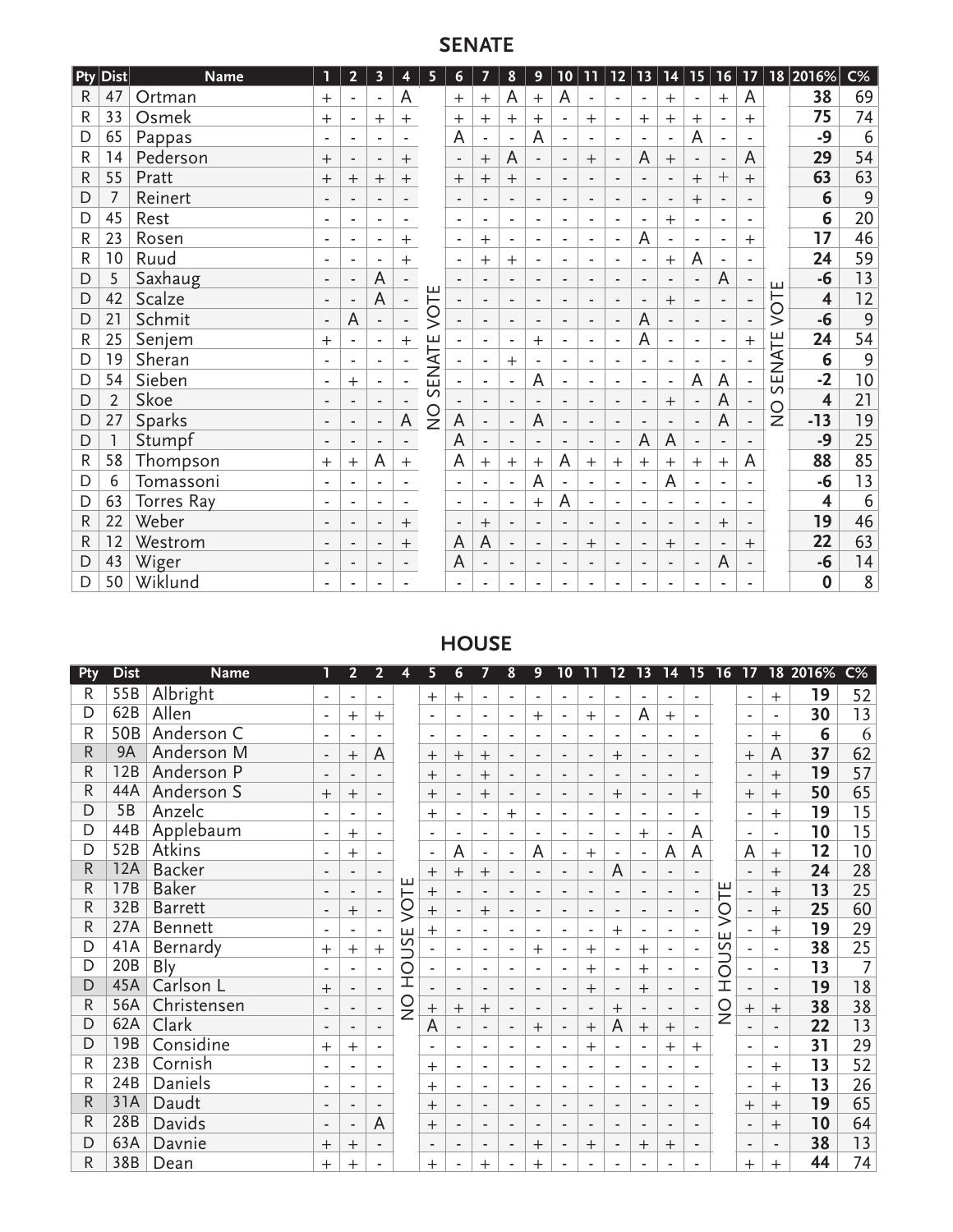# **SENATE**

| Pty         | $ \mathsf{Dist} $ | <b>Name</b>       | П                        | $\overline{2}$           | $\overline{\mathbf{3}}$  | 4                        | 5              | 6                        | $\overline{7}$           | 8                        | 9              | 10                           | 11                       | $12$                     | 13                       | 14                       | 15                           | 16                       | 17                       |                | 18 2016%                | $C\%$ |
|-------------|-------------------|-------------------|--------------------------|--------------------------|--------------------------|--------------------------|----------------|--------------------------|--------------------------|--------------------------|----------------|------------------------------|--------------------------|--------------------------|--------------------------|--------------------------|------------------------------|--------------------------|--------------------------|----------------|-------------------------|-------|
| R           | 47                | Ortman            | $^{+}$                   | ۰                        | $\overline{\phantom{a}}$ | A                        |                | $^{+}$                   | $^{+}$                   | A                        | $+$            | A                            |                          | $\overline{\phantom{a}}$ |                          | $\overline{+}$           |                              | $^{+}$                   | A                        |                | 38                      | 69    |
| R           | 33                | Osmek             | $^{+}$                   |                          | $+$                      | $^{+}$                   |                | $^{+}$                   | $^{+}$                   | $+$                      | $+$            | $\overline{\phantom{a}}$     | $+$                      | $\overline{\phantom{a}}$ | $+$                      | $^{+}$                   | $+$                          | ۰                        | $+$                      |                | 75                      | 74    |
| D           | 65                | Pappas            | ٠                        | ٠                        | $\blacksquare$           |                          |                | A                        | $\blacksquare$           | ٠                        | A              | $\blacksquare$               | ٠                        | ٠                        | ۰                        | ٠                        | A                            | ٠                        | ٠                        |                | $-9$                    | 6     |
| R           | 14                | Pederson          | $\pm$                    | ٠                        | $\overline{\phantom{a}}$ | $\mathrm{+}$             |                | $\overline{\phantom{a}}$ | $^{+}$                   | A                        | $\blacksquare$ | $\blacksquare$               | $^{+}$                   | $\overline{\phantom{a}}$ | A                        | $^{+}$                   | $\overline{\phantom{a}}$     | $\overline{\phantom{a}}$ | A                        |                | 29                      | 54    |
| R           | 55                | Pratt             | $\mathrm{+}$             | $\mathrm{+}$             | $^{+}$                   | $^{+}$                   |                | $^{+}$                   | $\ddot{}$                | $\ddot{}$                | ٠              | $\overline{\phantom{a}}$     | ٠                        | $\blacksquare$           |                          | ٠                        | $^{+}$                       | $^{+}$                   | $^{+}$                   |                | 63                      | 63    |
| D           | 7                 | Reinert           |                          |                          | ٠                        |                          |                | $\blacksquare$           | ٠                        |                          | ۰              | ٠                            |                          | $\blacksquare$           |                          | ٠                        | $^{+}$                       | ۰                        |                          |                | 6                       | 9     |
| D           | 45                | Rest              | $\overline{a}$           | ٠                        | ٠                        |                          |                | $\overline{\phantom{a}}$ | ٠                        | ٠                        | ٠              | ٠                            | ٠                        | ٠                        | -                        | $^{+}$                   | $\overline{\phantom{a}}$     | ۰                        | ۰                        |                | 6                       | 20    |
| R           | 23                | Rosen             | ٠                        | ٠                        | $\blacksquare$           | $^{+}$                   |                | ٠                        | $^{+}$                   | ٠                        | ٠              | $\blacksquare$               | ٠                        | ٠                        | A                        | $\blacksquare$           | $\overline{\phantom{a}}$     | ۰                        | $^{+}$                   |                | 17                      | 46    |
| R           | 10                | Ruud              | ٠                        |                          | L,                       | $^{+}$                   |                | $\overline{\phantom{a}}$ | $\overline{+}$           | $^{+}$                   | ٠              | $\overline{a}$               |                          | $\overline{a}$           |                          | $\overline{+}$           | A                            | $\overline{\phantom{a}}$ | ٠                        |                | 24                      | 59    |
| D           | 5                 | Saxhaug           | $\blacksquare$           | ٠                        | A                        |                          |                | $\blacksquare$           | ٠                        |                          | $\blacksquare$ | $\blacksquare$               | ٠                        | ٠                        | $\overline{\phantom{0}}$ | $\blacksquare$           | $\blacksquare$               | A                        | $\overline{\phantom{a}}$ | ш              | $-6$                    | 13    |
| D           | 42                | Scalze            | $\overline{\phantom{a}}$ | ٠                        | A                        | ۰                        | VOTE           | $\blacksquare$           | $\overline{\phantom{a}}$ | $\blacksquare$           | $\blacksquare$ | $\blacksquare$               | ٠                        | $\blacksquare$           | $\blacksquare$           | $+$                      | $\qquad \qquad \blacksquare$ | $\overline{\phantom{a}}$ | $\overline{\phantom{a}}$ | VOT            | $\overline{\mathbf{4}}$ | 12    |
| D           | 21                | Schmit            | $\overline{\phantom{a}}$ | A                        | $\overline{\phantom{a}}$ | $\overline{\phantom{a}}$ |                | $\overline{\phantom{a}}$ | $\overline{\phantom{a}}$ | ٠                        | ٠              | $\overline{\phantom{a}}$     | ٠                        | $\overline{\phantom{a}}$ | A                        | $\overline{\phantom{a}}$ | $\blacksquare$               | $\overline{\phantom{a}}$ | ٠                        |                | $-6$                    | 9     |
| ${\sf R}$   | 25                | Senjem            | $^+$                     | ٠                        | $\overline{\phantom{a}}$ | $^{+}$                   |                | ٠                        | ٠                        | ٠                        | $+$            | $\overline{\phantom{a}}$     | ٠                        | ٠                        | A                        | ٠                        | $\overline{\phantom{a}}$     | ٠                        | $^{+}$                   |                | 24                      | 54    |
| D           | 19                | Sheran            | ٠                        | ٠                        | ٠                        |                          | ENATE          |                          | ٠                        | $+$                      | ٠              | ٠                            | ۰                        | $\overline{a}$           |                          | ٠                        |                              | $\blacksquare$           |                          | ENATE          | 6                       | 9     |
| D           | 54                | Sieben            | ٠                        | $^+$                     | $\blacksquare$           |                          |                |                          | $\sim$                   | ٠                        | Α              | $\overline{\phantom{a}}$     | ٠                        | ٠                        | ٠                        | $\overline{\phantom{a}}$ | A                            | A                        |                          | $\overline{v}$ | $-2$                    | 10    |
| D           | $\overline{2}$    | Skoe              | $\overline{\phantom{a}}$ | $\blacksquare$           | $\overline{\phantom{a}}$ |                          | $\overline{v}$ |                          | $\overline{\phantom{a}}$ | ٠                        | $\blacksquare$ | $\blacksquare$               | $\blacksquare$           | $\blacksquare$           | ۰                        | $^{+}$                   |                              | A                        |                          |                | $\overline{\mathbf{4}}$ | 21    |
| D           | 27                | Sparks            | $\overline{\phantom{a}}$ |                          | $\overline{\phantom{a}}$ | A                        | $\frac{0}{2}$  | A                        | $\overline{\phantom{a}}$ | $\overline{\phantom{a}}$ | A              | $\qquad \qquad \blacksquare$ | ٠                        | ٠                        |                          | $\blacksquare$           | $\blacksquare$               | A                        | ٠                        | $\frac{0}{2}$  | $-13$                   | 19    |
| D           |                   | Stumpf            | $\blacksquare$           | ٠                        | $\overline{\phantom{a}}$ | $\overline{\phantom{0}}$ |                | A                        | $\overline{\phantom{a}}$ | $\overline{\phantom{a}}$ | $\blacksquare$ | $\blacksquare$               | $\blacksquare$           | $\overline{\phantom{a}}$ | A                        | A                        | $\blacksquare$               | $\overline{\phantom{m}}$ | $\overline{\phantom{a}}$ |                | $-9$                    | 25    |
| ${\sf R}$   | 58                | Thompson          | $\pm$                    | $\mathrm{+}$             | A                        | $^{+}$                   |                | A                        | $^{+}$                   | $\ddot{}$                | $^{+}$         | A                            | $^{+}$                   | $^{+}$                   | $^{+}$                   | $+$                      | $+$                          | $\ddot{}$                | A                        |                | 88                      | 85    |
| D           | 6                 | Tomassoni         | ٠                        | ٠                        | $\blacksquare$           |                          |                | ٠                        | ÷                        | ٠                        | A              | $\blacksquare$               | ٠                        | ٠                        |                          | A                        |                              | $\blacksquare$           | ۰                        |                | $-6$                    | 13    |
| D           | 63                | <b>Torres Ray</b> | ٠                        |                          | ٠                        |                          |                | ٠                        | ٠                        |                          | $\pm$          | A                            |                          | $\overline{\phantom{a}}$ |                          | ٠                        |                              | ٠                        |                          |                | 4                       | 6     |
| R           | 22                | Weber             | ٠                        | $\overline{\phantom{a}}$ | $\blacksquare$           | $+$                      |                | $\overline{\phantom{a}}$ | $^{+}$                   |                          | ٠              | $\blacksquare$               | $\overline{\phantom{a}}$ | ٠                        | ۰                        | $\blacksquare$           | $\blacksquare$               | $^{+}$                   | ٠                        |                | 19                      | 46    |
| $\mathsf R$ | 12                | Westrom           | $\blacksquare$           | ٠                        | $\blacksquare$           | $\ddot{}$                |                | A                        | A                        | $\blacksquare$           | ٠              | $\blacksquare$               | $\mathrm{+}$             | $\overline{\phantom{a}}$ |                          | $^{+}$                   |                              | $\blacksquare$           | $\mathrm{+}$             |                | 22                      | 63    |
| D           | 43                | Wiger             | ٠                        | ٠                        | $\overline{\phantom{a}}$ |                          |                | A                        | $\overline{\phantom{a}}$ | ٠                        | ٠              | $\blacksquare$               | ٠                        | $\blacksquare$           | ۰                        | $\blacksquare$           | $\blacksquare$               | A                        | ٠                        |                | $-6$                    | 14    |
| D           | 50                | Wiklund           |                          |                          |                          |                          |                |                          |                          |                          |                |                              |                          |                          |                          | ٠                        |                              |                          |                          |                | $\boldsymbol{0}$        | 8     |

# **HOUSE**

| Pty          | <b>Dist</b> | <b>Name</b>    |                          | 2                        | 2                        | 4             | 5                        | 6                        |                          | 8                        | 9              | 10                       |                          | 12                       | 13                       | 14                       | 15                       | 16            | 17                       | 18                           | 2016% | $\overline{C\%}$ |
|--------------|-------------|----------------|--------------------------|--------------------------|--------------------------|---------------|--------------------------|--------------------------|--------------------------|--------------------------|----------------|--------------------------|--------------------------|--------------------------|--------------------------|--------------------------|--------------------------|---------------|--------------------------|------------------------------|-------|------------------|
| R            | 55B         | Albright       |                          | ۰                        | ۰                        |               | $+$                      | $^{+}$                   | $\overline{\phantom{a}}$ |                          | ٠              |                          | $\sim$                   |                          | ۰                        |                          | ۰                        |               | $\overline{\phantom{a}}$ | $+$                          | 19    | 52               |
| D            | 62B         | Allen          |                          | $\mathrm{+}$             | $^+$                     |               | $\overline{\phantom{a}}$ |                          | ٠                        |                          | $^{+}$         |                          | $\overline{+}$           |                          | A                        | $^{+}$                   | ۰                        |               |                          | $\blacksquare$               | 30    | 13               |
| R            | 50B         | Anderson C     |                          | $\overline{\phantom{a}}$ |                          |               | ٠                        |                          | $\blacksquare$           |                          |                |                          | ٠                        |                          | ٠                        |                          |                          |               | $\blacksquare$           | $^{+}$                       | 6     | 6                |
| $\mathsf{R}$ | 9A          | Anderson M     | $\overline{\phantom{a}}$ | $^+$                     | A                        |               | $\pm$                    | $^+$                     | $^{+}$                   |                          | ٠              | $\overline{\phantom{a}}$ | $\blacksquare$           | $+$                      | $\blacksquare$           | ٠                        | ٠                        |               | $^{+}$                   | A                            | 37    | 62               |
| R            | 12B         | Anderson P     | $\blacksquare$           | $\blacksquare$           | $\overline{\phantom{a}}$ |               | $^{+}$                   | $\overline{\phantom{a}}$ | $+$                      | $\overline{\phantom{a}}$ | ٠              | $\overline{\phantom{a}}$ | $\blacksquare$           | $\overline{\phantom{a}}$ | $\overline{\phantom{a}}$ | ٠                        | ٠                        |               | $\blacksquare$           | $+$                          | 19    | 57               |
| R            | 44A         | Anderson S     | $\pm$                    | $^{+}$                   | $\overline{\phantom{a}}$ |               | $\pm$                    | ٠                        | $+$                      | $\overline{\phantom{a}}$ | ٠              | ۰                        | $\overline{\phantom{a}}$ | $\pm$                    | $\overline{\phantom{a}}$ | ٠                        | $^{+}$                   |               | $^{+}$                   | $^{+}$                       | 50    | 65               |
| D            | 5B          | Anzelc         |                          | ٠                        |                          |               | $^{+}$                   |                          | ٠                        | $+$                      |                |                          | ٠                        |                          | ٠                        |                          | ۰                        |               | ٠                        | $+$                          | 19    | 15               |
| D            | 44B         | Applebaum      | ٠                        | $^+$                     |                          |               | $\overline{\phantom{a}}$ | ٠                        | ٠                        | $\overline{\phantom{a}}$ | ٠              |                          | ٠                        | ٠                        | $+$                      | ٠                        | A                        |               | $\blacksquare$           | ٠                            | 10    | 15               |
| D            | 52B         | Atkins         |                          | $^{+}$                   |                          |               | $\blacksquare$           | A                        | $\overline{\phantom{a}}$ |                          | A              | ٠                        | $^{+}$                   | $\overline{\phantom{a}}$ | $\overline{\phantom{a}}$ | A                        | A                        |               | A                        | $+$                          | 12    | 10               |
| R            | <b>12A</b>  | <b>Backer</b>  |                          | $\blacksquare$           | $\overline{\phantom{a}}$ |               | $^{+}$                   | $^{+}$                   | $^{+}$                   |                          |                | $\overline{\phantom{a}}$ | $\overline{\phantom{a}}$ | A                        | $\overline{\phantom{a}}$ |                          |                          |               | $\overline{\phantom{a}}$ | $+$                          | 24    | 28               |
| R            | 17B         | <b>Baker</b>   | $\overline{\phantom{a}}$ | $\overline{\phantom{a}}$ | $\blacksquare$           | ٣             | $^{+}$                   | $\blacksquare$           | $\blacksquare$           | $\blacksquare$           | $\blacksquare$ | ٠                        | $\overline{\phantom{a}}$ | $\overline{\phantom{a}}$ | $\blacksquare$           | ٠                        | $\overline{\phantom{0}}$ |               | $\blacksquare$           | $+$                          | 13    | 25               |
| R            | 32B         | <b>Barrett</b> | $\blacksquare$           | $\mathrm{+}$             | $\overline{\phantom{a}}$ | Š             | $^{+}$                   | $\overline{\phantom{a}}$ | $^{+}$                   | $\blacksquare$           | ٠              | $\overline{\phantom{a}}$ | $\blacksquare$           | $\overline{\phantom{a}}$ | $\overline{\phantom{a}}$ | $\overline{\phantom{a}}$ | $\blacksquare$           | VOTE          | $\overline{\phantom{a}}$ | $^{+}$                       | 25    | 60               |
| R            | 27A         | Bennett        | ٠                        | $\overline{\phantom{a}}$ | ٠                        | ш             | $^{+}$                   | ٠                        | $\blacksquare$           | $\overline{\phantom{a}}$ | ۰              | ۰                        | $\overline{\phantom{a}}$ | $\pm$                    | $\blacksquare$           | ۰                        | $\overline{\phantom{a}}$ |               | $\overline{\phantom{a}}$ | $\ddot{}$                    | 19    | 29               |
| D            | 41A         | Bernardy       | $^{+}$                   | $^+$                     | $\ddot{}$                | SU            |                          |                          |                          |                          | $^{+}$         |                          | $+$                      |                          | $+$                      |                          |                          | OUSE          |                          |                              | 38    | $\overline{25}$  |
| D            | 20B         | <b>Bly</b>     |                          | ٠                        | ٠                        | $\circ$       | $\overline{\phantom{a}}$ | ٠                        | $\overline{\phantom{a}}$ |                          | ٠              | ٠                        | $^{+}$                   | ٠                        | $^{+}$                   | ۰                        | $\overline{\phantom{a}}$ |               | $\sim$                   | ٠                            | 13    | $\overline{7}$   |
| D            | 45A         | Carlson L      | $^{+}$                   | $\overline{\phantom{a}}$ | $\overline{\phantom{a}}$ | İ             |                          | $\blacksquare$           | $\overline{\phantom{a}}$ |                          | ٠              |                          | $+$                      |                          | $^{+}$                   | ٠                        |                          | İ             | $\blacksquare$           | $\overline{\phantom{m}}$     | 19    | 18               |
| R            | 56A         | Christensen    |                          | $\blacksquare$           | $\overline{\phantom{a}}$ | $\frac{0}{2}$ | $^{+}$                   | $+$                      | $^{+}$                   |                          | ٠              | $\overline{\phantom{a}}$ | $\blacksquare$           | $^{+}$                   | $\blacksquare$           | $\blacksquare$           | ٠                        | $\frac{0}{2}$ | $^{+}$                   | $+$                          | 38    | 38               |
| D            | 62A         | Clark          | $\overline{\phantom{a}}$ | $\blacksquare$           | $\blacksquare$           |               | A                        | $\blacksquare$           | $\blacksquare$           | $\overline{\phantom{a}}$ | $+$            | $\overline{\phantom{a}}$ | $+$                      | A                        | $+$                      | $^{+}$                   | $\overline{\phantom{0}}$ |               | $\blacksquare$           | $\sim$                       | 22    | 13               |
| D            | 19B         | Considine      | $^{+}$                   | $+$                      | ٠                        |               | $\overline{\phantom{a}}$ | $\sim$                   | $\blacksquare$           | ٠                        | ٠              | ٠                        | $+$                      | ٠                        | $\overline{\phantom{a}}$ | $+$                      | $+$                      |               | $\overline{\phantom{a}}$ | ٠                            | 31    | 29               |
| R            | 23B         | Cornish        | ٠                        | ٠                        | ۰                        |               | $\,+\,$                  | $\sim$                   | $\sim$                   | ٠                        | ٠              | ۰                        | ٠                        | ٠                        | ٠                        | ٠                        | ٠                        |               | $\sim$                   | $^{+}$                       | 13    | 52               |
| R            | 24B         | Daniels        |                          |                          |                          |               | $^+$                     |                          |                          |                          |                |                          | ٠                        |                          | ٠                        |                          |                          |               | ٠                        | $+$                          | 13    | 26               |
| R            | 31A         | Daudt          |                          | $\overline{\phantom{a}}$ | $\overline{\phantom{a}}$ |               | $^{+}$                   | ٠                        | $\blacksquare$           |                          | $\blacksquare$ | $\overline{\phantom{a}}$ | $\overline{\phantom{a}}$ |                          | $\blacksquare$           |                          | ٠                        |               | $^{+}$                   | $+$                          | 19    | 65               |
| R            | 28B         | Davids         |                          | $\blacksquare$           | A                        |               | $\,+\,$                  | ٠                        | ٠                        |                          | ٠              |                          | $\blacksquare$           |                          | $\blacksquare$           | ٠                        | ٠                        |               | $\overline{\phantom{a}}$ | $\ddot{}$                    | 10    | 64               |
| D            | 63A         | Davnie         | $^{+}$                   | $^{+}$                   | $\overline{\phantom{a}}$ |               | $\blacksquare$           | $\overline{a}$           | $\overline{\phantom{a}}$ |                          | $\mathrm{+}$   | $\overline{\phantom{a}}$ | $^{+}$                   | $\overline{\phantom{a}}$ | $^{+}$                   | $^{+}$                   | ٠                        |               | $\overline{\phantom{a}}$ | $\qquad \qquad \blacksquare$ | 38    | 13               |
| R            | 38B         | Dean           | $^+$                     | $^+$                     |                          |               | $^+$                     |                          | $^+$                     |                          | $\overline{+}$ |                          |                          |                          |                          |                          |                          |               | $^+$                     | $^+$                         | 44    | 74               |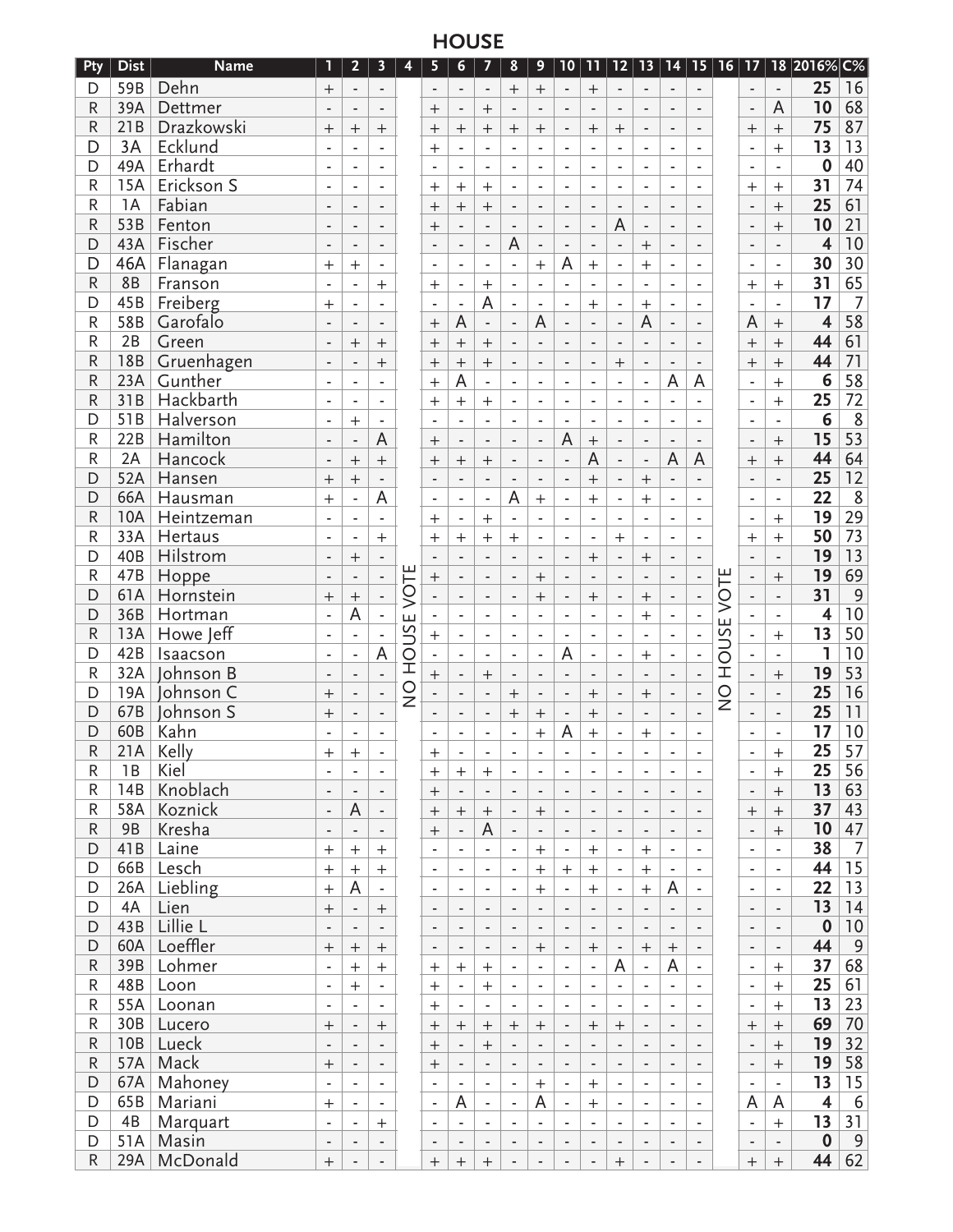# **HOUSE**

| Pty         | <b>Dist</b>     | <b>Name</b> | 1                        | $\mathbf{2}$             | 3                        | 4             | 5                        | 6                        | 7                            | 8                        | 9                        | 10                       | 11                       | $12$                     | 13                           | 14                       | 15                       | $\overline{16}$ | 17                           |                                     | 18 2016% C%             |                  |
|-------------|-----------------|-------------|--------------------------|--------------------------|--------------------------|---------------|--------------------------|--------------------------|------------------------------|--------------------------|--------------------------|--------------------------|--------------------------|--------------------------|------------------------------|--------------------------|--------------------------|-----------------|------------------------------|-------------------------------------|-------------------------|------------------|
| D           | 59B             | Dehn        | $^{+}$                   | $\blacksquare$           | $\blacksquare$           |               | $\blacksquare$           | $\blacksquare$           | $\blacksquare$               | $^{+}$                   | $^{+}$                   | $\overline{\phantom{a}}$ | $+$                      | $\overline{\phantom{a}}$ | $\overline{a}$               | $\blacksquare$           | $\blacksquare$           |                 | $\blacksquare$               | $\overline{\phantom{0}}$            | 25                      | 16               |
| ${\sf R}$   | 39A             | Dettmer     | $\overline{\phantom{a}}$ | $\overline{\phantom{a}}$ | $\overline{\phantom{a}}$ |               | $^{+}$                   | $\overline{\phantom{a}}$ | $+$                          | $\overline{\phantom{a}}$ | $\overline{a}$           | $\blacksquare$           | $\blacksquare$           | $\blacksquare$           | $\overline{a}$               | $\blacksquare$           | $\blacksquare$           |                 | $\overline{\phantom{a}}$     | A                                   | 10                      | 68               |
| $\mathsf R$ | 21B             | Drazkowski  | $^{+}$                   | $\ddot{}$                | $\qquad \qquad +$        |               | $^{+}$                   | $+$                      | $\ddot{}$                    | $\qquad \qquad +$        | $^{+}$                   | $\overline{a}$           | $^{+}$                   | $^{+}$                   | $\overline{a}$               | $\overline{a}$           | ÷,                       |                 | $^{+}$                       | $^{+}$                              | 75                      | 87               |
| D           | 3A              | Ecklund     |                          |                          |                          |               | $^{+}$                   | $\overline{a}$           |                              |                          |                          |                          | L,                       |                          |                              | L,                       |                          |                 | L,                           | $^{+}$                              | 13                      | 13               |
| D           | 49A             | Erhardt     | $\overline{\phantom{a}}$ |                          | ÷                        |               |                          | $\overline{\phantom{m}}$ |                              | $\overline{\phantom{a}}$ |                          | $\overline{\phantom{a}}$ | $\overline{\phantom{a}}$ | $\overline{\phantom{a}}$ |                              | $\overline{\phantom{a}}$ | ٠                        |                 | ÷                            | $\blacksquare$                      | $\bf{0}$                | 40               |
| $\mathsf R$ | <b>15A</b>      | Erickson S  | $\blacksquare$           | $\blacksquare$           | ä,                       |               | $^{+}$                   | $\ddot{}$                | $\ddot{}$                    | $\blacksquare$           | ٠                        | $\overline{\phantom{a}}$ | $\blacksquare$           | $\overline{\phantom{a}}$ | $\overline{\phantom{a}}$     | $\blacksquare$           | $\overline{\phantom{a}}$ |                 | $^{+}$                       | $\ddot{}$                           | 31                      | 74               |
| R           | 1A              | Fabian      | $\blacksquare$           | $\blacksquare$           | $\overline{\phantom{a}}$ |               | $^{+}$                   | $\ddot{}$                | $\ddot{}$                    | $\overline{\phantom{a}}$ | $\overline{\phantom{a}}$ | $\blacksquare$           | $\blacksquare$           | $\blacksquare$           |                              | $\blacksquare$           |                          |                 | $\overline{a}$               | $\ddot{}$                           | 25                      | 61               |
| ${\sf R}$   | 53B             | Fenton      | $\blacksquare$           | $\overline{\phantom{a}}$ | $\frac{1}{2}$            |               | $^{+}$                   | $\frac{1}{2}$            |                              | $\overline{\phantom{a}}$ |                          | $\overline{\phantom{a}}$ | $\blacksquare$           | $\overline{A}$           | $\overline{a}$               | $\overline{\phantom{a}}$ |                          |                 | $\overline{a}$               | $^{+}$                              | 10                      | 21               |
| D           | 43A             | Fischer     | $\blacksquare$           | $\overline{a}$           | L.                       |               |                          | ÷,                       | ÷,                           | A                        | ÷                        | ÷,                       | L.                       | $\overline{a}$           | $\overline{+}$               | $\overline{a}$           |                          |                 | $\overline{a}$               | $\overline{a}$                      | $\overline{\mathbf{4}}$ | 10               |
| D           | 46A             | Flanagan    |                          | $^{+}$                   |                          |               |                          | $\overline{\phantom{a}}$ | ٠                            | L,                       |                          | A                        | $^{+}$                   | $\overline{\phantom{a}}$ | $\overline{+}$               | $\overline{\phantom{a}}$ |                          |                 |                              | ÷,                                  | 30                      | 30               |
| R           | 8B              | Franson     | $^{+}$<br>÷,             |                          |                          |               |                          | $\overline{\phantom{a}}$ |                              |                          | $\overline{+}$           | $\blacksquare$           | $\overline{\phantom{a}}$ |                          |                              |                          |                          |                 |                              |                                     | 31                      | 65               |
| D           | 45B             | Freiberg    |                          |                          | $^{+}$<br>$\mathbf{r}$   |               | $^{+}$                   | $\overline{\phantom{a}}$ | $\overline{+}$<br>A          |                          |                          |                          |                          |                          |                              | $\overline{\phantom{a}}$ |                          |                 | $^{+}$                       | $\qquad \qquad +$<br>$\blacksquare$ | 17                      | $\overline{7}$   |
| ${\sf R}$   | 58B             | Garofalo    | $^{+}$                   | $\blacksquare$           |                          |               |                          | A                        |                              | $\blacksquare$           | ٠<br>A                   | $\blacksquare$           | $^{+}$                   | $\blacksquare$           | $^{+}$<br>A                  | $\blacksquare$           | $\overline{\phantom{a}}$ |                 | $\blacksquare$               |                                     | $\overline{\mathbf{4}}$ | 58               |
| $\mathsf R$ | 2B              |             | $\overline{\phantom{a}}$ | $\overline{\phantom{a}}$ | $\overline{\phantom{a}}$ |               | $^{+}$                   |                          | $\overline{\phantom{a}}$     | $\overline{\phantom{a}}$ |                          | $\overline{\phantom{a}}$ | $\overline{\phantom{a}}$ | $\overline{\phantom{a}}$ |                              | $\overline{\phantom{a}}$ | $\overline{\phantom{a}}$ |                 | A                            | $\qquad \qquad +$                   | 44                      | 61               |
|             |                 | Green       | $\blacksquare$           | $^{+}$                   | $\qquad \qquad +$        |               | $^{+}$                   | $\ddot{}$                | $+$                          | $\overline{a}$           |                          | $\overline{a}$           | $\overline{a}$           | $\overline{\phantom{a}}$ |                              | $\overline{\phantom{a}}$ |                          |                 | $+$                          | $^{+}$                              |                         |                  |
| ${\sf R}$   | <b>18B</b>      | Gruenhagen  |                          | $\overline{a}$           | $^{+}$                   |               | $^{+}$                   | $^{+}$                   | $\ddot{}$                    | $\overline{a}$           | ٠                        | $\overline{a}$           | $\blacksquare$           | $^{+}$                   | $\overline{a}$               | $\overline{a}$           |                          |                 | $^{+}$                       | $^{+}$                              | 44                      | 71               |
| ${\sf R}$   | 23A             | Gunther     | $\overline{\phantom{a}}$ |                          | ÷,                       |               | $^{+}$                   | A                        | $\overline{a}$               | L,                       |                          | ÷,                       | $\overline{\phantom{a}}$ | $\frac{1}{2}$            | $\overline{a}$               | A                        | A                        |                 | ÷,                           | $^{+}$                              | 6                       | $\overline{58}$  |
| $\mathsf R$ | 31B             | Hackbarth   | $\blacksquare$           | $\blacksquare$           | ä,                       |               | $^{+}$                   | $\ddot{}$                | $+$                          | $\blacksquare$           | ٠                        | $\blacksquare$           | $\blacksquare$           | $\blacksquare$           | $\overline{\phantom{a}}$     | $\blacksquare$           |                          |                 | ä,                           | $^{+}$                              | 25                      | 72               |
| D           | 51B             | Halverson   | $\blacksquare$           | $+$                      | $\blacksquare$           |               |                          | $\sim$                   | ٠                            | $\blacksquare$           | $\overline{\phantom{a}}$ | $\overline{\phantom{a}}$ | $\overline{\phantom{a}}$ | $\blacksquare$           | $\blacksquare$               | $\blacksquare$           |                          |                 | ٠                            | $\overline{\phantom{a}}$            | 6                       | 8                |
| ${\sf R}$   | 22B             | Hamilton    | $\blacksquare$           | $\blacksquare$           | A                        |               | $^{+}$                   | $\frac{1}{2}$            |                              | ä,                       | $\overline{a}$           | A                        | $\qquad \qquad +$        | $\overline{\phantom{a}}$ | $\overline{a}$               | $\overline{\phantom{a}}$ |                          |                 | $\overline{\phantom{a}}$     | $^{+}$                              | 15                      | 53               |
| $\mathsf R$ | 2A              | Hancock     | $\overline{\phantom{a}}$ | $\ddot{}$                | $\ddot{}$                |               | $^{+}$                   | $+$                      | $^{+}$                       | $\overline{\phantom{a}}$ | ÷                        | $\overline{a}$           | A                        | $\overline{\phantom{a}}$ | $\overline{a}$               | A                        | A                        |                 | $^{+}$                       | $^{+}$                              | 44                      | 64               |
| D           | 52A             | Hansen      | $^{+}$                   | $\ddot{}$                | ÷,                       |               |                          | L.                       | $\overline{a}$               | $\overline{\phantom{a}}$ | ٠                        | $\overline{a}$           | $+$                      | $\overline{\phantom{a}}$ | $^{+}$                       | $\overline{a}$           |                          |                 | $\overline{a}$               | L,                                  | 25                      | 12               |
| D           | 66A             | Hausman     | $^{+}$                   | $\overline{\phantom{a}}$ | A                        |               |                          | ÷,                       | $\overline{\phantom{0}}$     | A                        | $\overline{+}$           | $\blacksquare$           | $^{+}$                   | $\overline{\phantom{a}}$ | $\overline{+}$               | $\overline{\phantom{a}}$ |                          |                 | $\blacksquare$               | ÷,                                  | 22                      | $\,8\,$          |
| R           | 10A             | Heintzeman  | $\overline{\phantom{a}}$ | $\blacksquare$           | $\mathbf{r}$             |               | $+$                      | $\blacksquare$           | $+$                          | $\overline{\phantom{a}}$ | $\blacksquare$           | $\blacksquare$           | $\overline{\phantom{a}}$ | $\overline{\phantom{a}}$ | $\blacksquare$               | $\blacksquare$           | $\overline{\phantom{a}}$ |                 | $\overline{\phantom{a}}$     | $\mathrm{+}$                        | 19                      | 29               |
| R           | 33A             | Hertaus     | $\blacksquare$           | $\blacksquare$           | $+$                      |               | $\ddot{}$                | $\qquad \qquad +$        | $+$                          | $+$                      | ٠                        | $\overline{\phantom{a}}$ | $\overline{\phantom{a}}$ | $^{+}$                   | ÷                            | $\overline{\phantom{a}}$ | $\overline{\phantom{a}}$ |                 | $^{+}$                       | $^{+}$                              | 50                      | 73               |
| D           | 40B             | Hilstrom    | $\blacksquare$           | $^{+}$                   | ÷.                       | ш             |                          |                          |                              |                          |                          | $\overline{a}$           | $\qquad \qquad +$        | $\overline{\phantom{a}}$ | $^{+}$                       | $\overline{\phantom{a}}$ |                          |                 |                              | $\overline{a}$                      | 19                      | 13               |
| ${\sf R}$   | 47B             | Hoppe       |                          |                          |                          |               | $\overline{+}$           | $\overline{a}$           | L.                           | L.                       | $^{+}$                   | $\overline{a}$           | L.                       |                          |                              | L.                       | L.                       | OTE             |                              | $^{+}$                              | 19                      | 69               |
| D           | 61A             | Hornstein   | $^{+}$                   | $\ddot{}$                |                          | VOTI          |                          | $\frac{1}{2}$            | $\overline{a}$               | L,                       | $^{+}$                   | $\blacksquare$           | $\ddot{}$                | $\overline{\phantom{a}}$ | $^{+}$                       | $\overline{a}$           | $\blacksquare$           |                 |                              | $\overline{a}$                      | 31                      | $\mathsf{9}$     |
| D           | 36B             | Hortman     | ÷,                       | A                        |                          | ш             |                          | $\overline{\phantom{a}}$ |                              |                          |                          | $\overline{\phantom{a}}$ | $\overline{\phantom{a}}$ | $\blacksquare$           | $^{+}$                       | $\overline{\phantom{a}}$ |                          | $\geq$<br>ш     |                              | $\overline{\phantom{a}}$            | $\overline{\mathbf{4}}$ | 10               |
| ${\sf R}$   | 13A             | Howe Jeff   | $\overline{\phantom{a}}$ | $\overline{\phantom{a}}$ |                          | SU            | $^{+}$                   | $\overline{\phantom{a}}$ | $\blacksquare$               | $\overline{\phantom{a}}$ | ٠                        | $\overline{\phantom{a}}$ | ٠                        | $\overline{\phantom{a}}$ | ٠                            | $\overline{\phantom{a}}$ | $\overline{\phantom{a}}$ | S               | $\qquad \qquad \blacksquare$ | $\ddot{}$                           | 13                      | 50               |
| D           | 42B             | Isaacson    | $\overline{\phantom{a}}$ | $\overline{\phantom{a}}$ | A                        | $\bar{\circ}$ | $\blacksquare$           | $\blacksquare$           | $\blacksquare$               | $\overline{\phantom{a}}$ | ٠                        | A                        | $\overline{\phantom{a}}$ | $\overline{\phantom{a}}$ | $^{+}$                       | $\overline{\phantom{a}}$ | $\overline{\phantom{a}}$ | $\frac{1}{2}$   |                              | $\overline{\phantom{a}}$            | ı                       | 10               |
| R           | 32A             | Johnson B   | $\overline{\phantom{a}}$ | $\overline{a}$           | $\overline{a}$           | Ĭ             | $\ddot{}$                | $\overline{a}$           | $+$                          | $\overline{\phantom{a}}$ |                          | $\overline{a}$           | $\sim$                   | L.                       | $\overline{a}$               | $\overline{\phantom{a}}$ | ÷,                       | 工               | $\overline{a}$               | $^{+}$                              | 19                      | 53               |
| D           | 19A             | Johnson C   | $^{+}$                   | $\overline{\phantom{a}}$ | $\overline{a}$           | $\frac{0}{2}$ |                          | $\overline{a}$           | $\overline{a}$               | $\overline{+}$           | ٠                        | $\overline{a}$           | $^{+}$                   | $\overline{\phantom{a}}$ | $\overline{+}$               | $\overline{\phantom{a}}$ | $\overline{\phantom{a}}$ | $\circ$         | $\overline{a}$               | $\overline{a}$                      | 25                      | 16               |
| D           | 67B             | Johnson S   | $^{+}$                   |                          |                          |               |                          |                          | $\qquad \qquad \blacksquare$ | $^{+}$                   | $\mathrm{+}$             | $\centerdot$             | $^{+}$                   |                          |                              |                          |                          | Ż               |                              | $\overline{\phantom{0}}$            | 25                      | 11               |
| D           | 60 <sub>B</sub> | Kahn        | $\blacksquare$           | $\overline{\phantom{a}}$ | $\blacksquare$           |               | $\overline{\phantom{a}}$ | $\overline{\phantom{a}}$ | $\overline{\phantom{a}}$     | $\overline{\phantom{a}}$ | $^{+}$                   | A                        | $^{+}$                   | $\overline{\phantom{a}}$ | $\, +$                       | $\overline{\phantom{a}}$ | $\overline{\phantom{a}}$ |                 | $\frac{1}{2}$                | $\overline{\phantom{a}}$            | 17                      | 10               |
| R           | 21A             | Kelly       | $\ddot{}$                | $^{+}$                   |                          |               | $^{+}$                   |                          |                              |                          |                          | ٠                        |                          | ٠                        |                              | $\overline{a}$           |                          |                 |                              | $^{+}$                              | 25                      | 57               |
| R           | 1B              | Kiel        | $\blacksquare$           | $\overline{\phantom{a}}$ | $\blacksquare$           |               | $+$                      | $\! + \!\!\!\!$          | $+$                          | $\blacksquare$           | ä,                       | $\overline{\phantom{0}}$ | $\overline{\phantom{a}}$ | $\blacksquare$           | $\overline{\phantom{a}}$     | $\overline{\phantom{a}}$ | $\blacksquare$           |                 | ä,                           | $+$                                 | 25                      | 56               |
| ${\sf R}$   | 14B             | Knoblach    | $\overline{a}$           | $\overline{a}$           | $\overline{a}$           |               | $\ddot{}$                | $\overline{\phantom{a}}$ | $\overline{a}$               |                          | ä,                       | $\overline{a}$           | $\overline{\phantom{a}}$ | $\overline{a}$           | L,                           | $\overline{a}$           | ÷,                       |                 | $\overline{a}$               | $\ddot{}$                           | 13                      | 63               |
| ${\sf R}$   | 58A             | Koznick     | $\blacksquare$           | $\mathsf A$              | $\blacksquare$           |               | $^{+}$                   | $\ddot{}$                | $\ddot{}$                    | $\overline{\phantom{a}}$ | $^{+}$                   | $\blacksquare$           | $\overline{\phantom{a}}$ | $\overline{\phantom{a}}$ |                              | $\overline{a}$           |                          |                 | $\ddot{}$                    | $\ddot{}$                           | 37                      | 43               |
| R           | 9B              | Kresha      | $\blacksquare$           |                          | $\blacksquare$           |               | $+$                      | $\blacksquare$           | A                            | $\blacksquare$           | $\overline{\phantom{a}}$ | $\overline{\phantom{a}}$ | $\overline{\phantom{a}}$ | $\overline{\phantom{a}}$ | $\overline{\phantom{a}}$     | $\overline{\phantom{a}}$ | $\centerdot$             |                 | $\centerdot$                 | $\ddot{}$                           | 10                      | 47               |
| D           | 41B             | Laine       | $\ddot{}$                | $+$                      | $\ddot{}$                |               | $\blacksquare$           | $\overline{\phantom{a}}$ | $\blacksquare$               | $\overline{\phantom{a}}$ | $^{+}$                   | $\overline{\phantom{a}}$ | $+$                      | $\Box$                   | $\qquad \qquad +$            | $\blacksquare$           | $\overline{\phantom{a}}$ |                 | $\overline{\phantom{a}}$     | $\frac{1}{2}$                       | 38                      | $\overline{7}$   |
| D           | 66B             | Lesch       | $\ddot{}$                | $\qquad \qquad +$        | $\boldsymbol{+}$         |               | $\overline{\phantom{a}}$ | $\overline{\phantom{a}}$ | $\blacksquare$               | $\overline{\phantom{a}}$ | $^{+}$                   | $\boldsymbol{+}$         | $+$                      | $\overline{\phantom{a}}$ | $+$                          | ä,                       | $\blacksquare$           |                 | $\overline{\phantom{a}}$     | $\overline{\phantom{a}}$            | 44                      | 15               |
| D           | 26A             | Liebling    | $\ddot{}$                | A                        | ÷.                       |               | $\blacksquare$           | $\blacksquare$           | $\blacksquare$               | $\blacksquare$           | $^{+}$                   | $\blacksquare$           | $+$                      | $\overline{\phantom{a}}$ | $+$                          | A                        | $\blacksquare$           |                 | $\blacksquare$               | $\overline{\phantom{a}}$            | 22                      | 13               |
| D           | 4A              | Lien        | $^{+}$                   | $\overline{\phantom{a}}$ | $\boldsymbol{+}$         |               | $\overline{\phantom{a}}$ | $\overline{a}$           | L.                           | $\overline{\phantom{a}}$ | $\overline{\phantom{0}}$ | $\overline{\phantom{a}}$ | $\overline{\phantom{0}}$ | $\overline{\phantom{a}}$ | $\overline{a}$               | $\overline{\phantom{a}}$ |                          |                 | $\qquad \qquad \blacksquare$ | L,                                  | 13                      | 14               |
| D           | 43B             | Lillie L    | $\blacksquare$           |                          | $\frac{1}{2}$            |               | $\overline{\phantom{a}}$ | $\blacksquare$           | $\overline{\phantom{a}}$     | $\overline{\phantom{0}}$ | ÷,                       | $\blacksquare$           | $\overline{\phantom{a}}$ | $\overline{\phantom{a}}$ | $\qquad \qquad \blacksquare$ | $\overline{a}$           |                          |                 | $\qquad \qquad \blacksquare$ | $\overline{\phantom{0}}$            | $\boldsymbol{0}$        | 10               |
| D           | 60A             | Loeffler    | $\ddot{}$                | $\boldsymbol{+}$         | $\qquad \qquad +$        |               | $\overline{\phantom{a}}$ | $\overline{\phantom{a}}$ |                              | $\overline{\phantom{a}}$ |                          |                          |                          |                          |                              |                          |                          |                 |                              | $\overline{\phantom{a}}$            | 44                      | $\overline{9}$   |
|             | 39B             |             |                          |                          |                          |               |                          |                          | $\overline{\phantom{a}}$     |                          | $\qquad \qquad +$        | $\overline{\phantom{a}}$ | $+$                      | $\overline{\phantom{a}}$ | $+$                          | $\qquad \qquad +$        | $\overline{\phantom{a}}$ |                 | $\overline{\phantom{a}}$     |                                     |                         |                  |
| R<br>R      | 48B             | Lohmer      | $\overline{\phantom{a}}$ | $\ddot{}$                | $+$                      |               | $\qquad \qquad +$        |                          | $+$                          | $\overline{\phantom{a}}$ | $\overline{\phantom{m}}$ | $\overline{\phantom{a}}$ | $\blacksquare$           | A                        | $\overline{\phantom{a}}$     | A                        | $\overline{\phantom{a}}$ |                 | $\overline{\phantom{a}}$     | $\ddot{}$                           | 37                      | 68               |
|             |                 | Loon        | $\overline{\phantom{a}}$ | $\qquad \qquad +$        | $\blacksquare$           |               | $\qquad \qquad +$        | $\overline{\phantom{a}}$ | $+$                          | $\overline{\phantom{a}}$ | $\overline{\phantom{a}}$ | $\overline{\phantom{a}}$ | $\blacksquare$           | $\overline{\phantom{a}}$ | $\overline{\phantom{a}}$     | $\blacksquare$           | $\overline{\phantom{a}}$ |                 | $\overline{\phantom{a}}$     | $+$                                 | 25                      | 61               |
| ${\sf R}$   | 55A             | Loonan      | $\overline{\phantom{a}}$ | L.                       | ÷.                       |               | $\ddot{}$                | ÷.                       | $\overline{a}$               | L.                       | ä,                       | $\overline{\phantom{a}}$ | $\overline{\phantom{a}}$ | ÷,                       | ÷,                           | ä,                       |                          |                 | $\overline{a}$               | $\ddot{}$                           | 13                      | 23               |
| ${\sf R}$   | 30B             | Lucero      | $^{+}$                   | $\overline{\phantom{a}}$ | $\qquad \qquad +$        |               | $^{+}$                   | $\ddot{}$                | $\! + \!$                    | $\ddot{}$                | $^{+}$                   | $\blacksquare$           |                          | $\ddot{}$                | $\overline{\phantom{a}}$     | $\frac{1}{2}$            |                          |                 | $^{+}$                       | $\ddot{}$                           | 69                      | 70               |
| R           | 10B             | Lueck       |                          |                          | $\overline{\phantom{a}}$ |               | $\ddot{}$                | $\Box$                   | $\ddot{}$                    | $\overline{\phantom{a}}$ |                          | $\overline{\phantom{a}}$ | $\overline{\phantom{a}}$ | $\blacksquare$           |                              | $\overline{\phantom{a}}$ |                          |                 | $\centerdot$                 | $\ddot{}$                           | 19                      | 32               |
| ${\sf R}$   | 57A             | Mack        | $\ddot{}$                | $\overline{\phantom{a}}$ | $\overline{\phantom{a}}$ |               | $\ddot{}$                | $\overline{\phantom{a}}$ | $\blacksquare$               | $\overline{\phantom{a}}$ | $\blacksquare$           | $\overline{\phantom{a}}$ | $\overline{\phantom{a}}$ | $\overline{\phantom{a}}$ | $\overline{\phantom{a}}$     | $\blacksquare$           | $\overline{\phantom{a}}$ |                 | $\centerdot$                 | $\ddot{}$                           | 19                      | 58               |
| D           | 67A             | Mahoney     | $\overline{\phantom{a}}$ | $\blacksquare$           | $\overline{\phantom{a}}$ |               | $\blacksquare$           | $\overline{\phantom{a}}$ | $\overline{\phantom{a}}$     | $\overline{\phantom{a}}$ | $^{+}$                   | $\overline{\phantom{a}}$ | $+$                      | $\overline{\phantom{a}}$ | $\overline{\phantom{a}}$     | $\overline{\phantom{a}}$ | $\blacksquare$           |                 | $\overline{\phantom{a}}$     | L.                                  | 13                      | 15               |
| D           | 65B             | Mariani     | $\ddot{}$                | $\blacksquare$           | $\blacksquare$           |               | $\overline{\phantom{a}}$ | A                        | $\overline{\phantom{a}}$     | $\overline{\phantom{a}}$ | A                        | $\blacksquare$           | $+$                      | $\overline{\phantom{a}}$ | $\overline{\phantom{a}}$     | $\overline{\phantom{a}}$ | $\blacksquare$           |                 | A                            | A                                   | $\overline{\mathbf{4}}$ | $\boldsymbol{6}$ |
| D           | 4B              | Marquart    | $\overline{\phantom{a}}$ | $\overline{\phantom{a}}$ | $+$                      |               | $\blacksquare$           | $\blacksquare$           | $\blacksquare$               | ä,                       | $\overline{\phantom{a}}$ | $\mathbf{r}$             | $\blacksquare$           | $\overline{\phantom{a}}$ | ä,                           | ä,                       |                          |                 | $\blacksquare$               | $\ddot{}$                           | 13                      | 31               |
| D           | 51A             | Masin       | $\blacksquare$           |                          |                          |               | $\overline{\phantom{a}}$ | $\overline{\phantom{a}}$ | $\overline{\phantom{a}}$     | $\overline{\phantom{0}}$ | -                        | $\overline{\phantom{a}}$ | $\overline{\phantom{a}}$ | $\overline{\phantom{a}}$ |                              | $\blacksquare$           |                          |                 | $\overline{\phantom{a}}$     | $\overline{a}$                      | $\boldsymbol{0}$        | $9\,$            |
| R           | 29A             | McDonald    | $^{+}$                   | $\overline{\phantom{a}}$ | $\blacksquare$           |               | $^{+}$                   | $\qquad \qquad +$        | $+$                          | $\blacksquare$           | $\overline{\phantom{a}}$ | $\blacksquare$           | $\overline{\phantom{a}}$ | $\ddot{}$                | $\overline{\phantom{a}}$     | $\overline{\phantom{a}}$ |                          |                 |                              | $\ddot{}$                           | 44                      | 62               |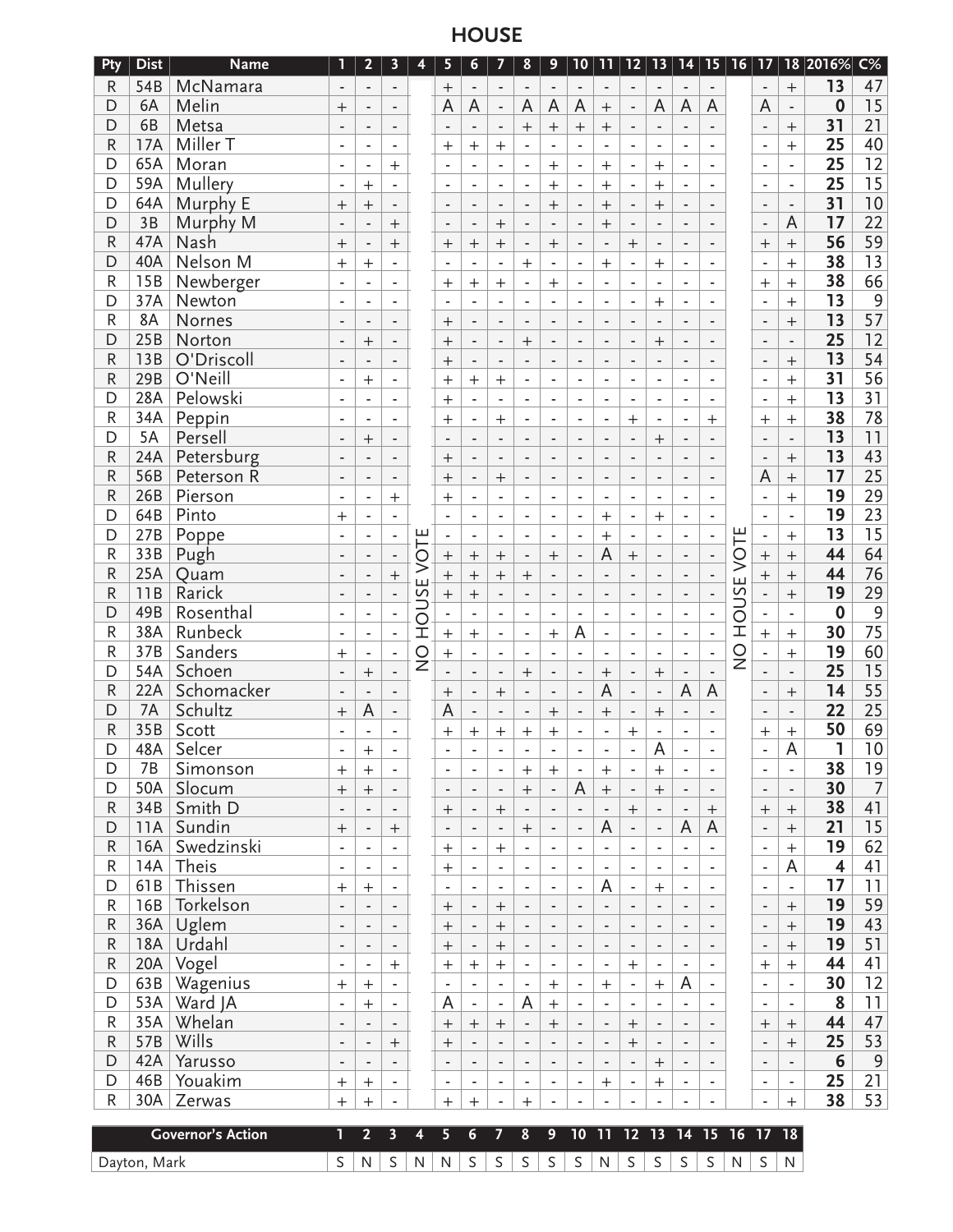**HOUSE**

| Pty          | <b>Dist</b>  | <b>Name</b>              | 1                        | 2                        | 3                        | 4                        | 5                          | 6                        | 7                        | 8                        | 9                               | 10                       | 11                       | $12$                     | $\overline{13}$          | 14                            | 15 <sub>1</sub>                      | 16                       | $\overline{17}$              |                                       | 18 2016%                | $C\%$          |                                     |             |                |
|--------------|--------------|--------------------------|--------------------------|--------------------------|--------------------------|--------------------------|----------------------------|--------------------------|--------------------------|--------------------------|---------------------------------|--------------------------|--------------------------|--------------------------|--------------------------|-------------------------------|--------------------------------------|--------------------------|------------------------------|---------------------------------------|-------------------------|----------------|-------------------------------------|-------------|----------------|
| R            | 54B          | McNamara                 |                          | ÷                        | $\overline{\phantom{a}}$ |                          | $^{+}$                     | $\overline{\phantom{a}}$ | $\overline{\phantom{a}}$ |                          | $\overline{a}$                  | $\overline{\phantom{m}}$ | $\overline{\phantom{a}}$ |                          |                          |                               | $\overline{\phantom{a}}$             |                          |                              | $\qquad \qquad +$                     | 13                      | 47             |                                     |             |                |
| D            | 6A           | Melin                    | $\pm$                    |                          | $\overline{\phantom{a}}$ |                          | A                          | A                        | $\overline{\phantom{a}}$ | A                        | A                               | A                        | $\qquad \qquad +$        | $\overline{\phantom{a}}$ | A                        | A                             | A                                    |                          | A                            | $\centerdot$                          | 0                       | 15             |                                     |             |                |
| D            | 6B           | Metsa                    | $\blacksquare$           | $\overline{\phantom{a}}$ | $\overline{\phantom{a}}$ |                          | $\overline{\phantom{a}}$   | $\overline{\phantom{a}}$ | $\overline{\phantom{a}}$ | $^{+}$                   | $\ddot{}$                       |                          | $\boldsymbol{+}$         | $\overline{\phantom{a}}$ | $\overline{\phantom{a}}$ | $\blacksquare$                | $\overline{\phantom{a}}$             |                          | $\qquad \qquad \blacksquare$ | $+$                                   | 31                      | 21             |                                     |             |                |
| R            | 17A          | Miller T                 | $\overline{\phantom{a}}$ | $\overline{\phantom{a}}$ | $\overline{\phantom{a}}$ |                          | $^+$                       | $\, +$                   | $\ddot{}$                | $\blacksquare$           | $\blacksquare$                  |                          | $\overline{\phantom{a}}$ | ٠                        | $\overline{\phantom{a}}$ | $\blacksquare$                | $\overline{\phantom{a}}$             |                          | $\overline{\phantom{a}}$     | $^{+}$                                | 25                      | 40             |                                     |             |                |
| D            | 65A          | Moran                    | $\overline{\phantom{a}}$ | ÷,                       | $\mathrm{+}$             |                          | ÷,                         | L.                       | ä,                       | $\blacksquare$           | $\ddot{}$                       | ä,                       | $+$                      | $\blacksquare$           | $^{+}$                   | $\overline{\phantom{a}}$      | $\blacksquare$                       |                          | ä,                           | $\overline{a}$                        | 25                      | 12             |                                     |             |                |
| D            | 59A          | Mullery                  |                          | $^{+}$                   | ä,                       |                          | ÷                          | L,                       | $\overline{\phantom{a}}$ |                          | $\ddot{}$                       |                          | $^{+}$                   |                          | $^{+}$                   |                               |                                      |                          | $\overline{\phantom{a}}$     | L,                                    | 25                      | 15             |                                     |             |                |
| D            | 64A          | Murphy E                 | $^{+}$                   | $^{+}$                   |                          |                          |                            |                          | $\centerdot$             |                          | $\ddot{}$                       |                          | $\ddot{}$                |                          | $^{+}$                   |                               |                                      |                          |                              | $\overline{a}$                        | 31                      | 10             |                                     |             |                |
| D            | 3B           | Murphy M                 |                          | ÷,                       | $+$                      |                          | $\overline{\phantom{a}}$   | $\blacksquare$           | $\ddot{}$                |                          | $\overline{a}$                  |                          | $\ddot{}$                |                          | $\blacksquare$           | ٠                             | $\overline{\phantom{a}}$             |                          | $\qquad \qquad \blacksquare$ | A                                     | 17                      | 22             |                                     |             |                |
| R            | 47A          | Nash                     | $^{+}$                   | $\overline{\phantom{a}}$ | $\ddot{}$                |                          | $^{+}$                     | $^{+}$                   | $\ddot{}$                | $\blacksquare$           | $\qquad \qquad +$               |                          | $\overline{\phantom{a}}$ | $+$                      | $\overline{\phantom{a}}$ | ٠                             | $\overline{\phantom{a}}$             |                          | $^{+}$                       | $\ddot{}$                             | 56                      | 59             |                                     |             |                |
| D            | 40A          | Nelson M                 | $^{+}$                   | $\qquad \qquad +$        | $\overline{a}$           |                          | ä,                         | $\overline{\phantom{0}}$ | $\blacksquare$           | $^{+}$                   | ä,                              |                          | $\ddot{}$                |                          | $^{+}$                   | ٠                             | $\blacksquare$                       |                          | $\overline{\phantom{a}}$     | $\ddot{}$                             | 38                      | 13             |                                     |             |                |
| $\mathsf R$  | 15B          | Newberger                | $\overline{\phantom{a}}$ | ÷,                       | L.                       |                          | $\overline{+}$             | $^{+}$                   | $^{+}$                   | $\overline{\phantom{a}}$ | $+$                             | $\overline{a}$           | ä,                       |                          | $\overline{a}$           |                               | $\overline{a}$                       |                          | $^{+}$                       | $^{+}$                                | 38                      | 66             |                                     |             |                |
| D            | 37A          | Newton                   |                          | $\overline{a}$           |                          |                          |                            | L,                       |                          | ä,                       |                                 |                          | L.                       | ٠                        | $\overline{+}$           |                               |                                      |                          |                              | $\ddot{}$                             | 13                      | $\overline{9}$ |                                     |             |                |
| ${\sf R}$    | 8A           | Nornes                   |                          |                          |                          |                          | $\mathrm{+}$               | $\overline{\phantom{a}}$ | $\overline{\phantom{a}}$ | $\frac{1}{2}$            |                                 |                          | $\overline{\phantom{a}}$ |                          |                          |                               |                                      |                          | $\overline{\phantom{a}}$     | $^{+}$                                | 13                      | 57             |                                     |             |                |
| D            | 25B          | Norton                   | $\blacksquare$           | $^{+}$                   | $\blacksquare$           |                          | $^{+}$                     | $\blacksquare$           | $\overline{\phantom{a}}$ | $^{+}$                   | $\overline{\phantom{a}}$        | $\overline{\phantom{m}}$ | $\overline{\phantom{a}}$ | $\blacksquare$           | $+$                      | $\overline{\phantom{a}}$      | $\blacksquare$                       |                          | $\overline{\phantom{a}}$     | $\blacksquare$                        | 25                      | 12             |                                     |             |                |
| R            | 13B          | O'Driscoll               | $\blacksquare$           | $\overline{\phantom{a}}$ | $\overline{\phantom{a}}$ |                          | $^{+}$                     | $\overline{\phantom{a}}$ | $\overline{\phantom{a}}$ | $\frac{1}{2}$            | $\blacksquare$                  | $\blacksquare$           | $\overline{\phantom{a}}$ | $\overline{\phantom{a}}$ | $\overline{\phantom{a}}$ | $\overline{\phantom{a}}$      | $\overline{\phantom{a}}$             |                          | $\qquad \qquad \blacksquare$ | $+$                                   | 13                      | 54             |                                     |             |                |
| R            | 29B          | O'Neill                  | $\overline{\phantom{a}}$ | $^{+}$                   | $\overline{a}$           |                          | $^{+}$                     | $^{+}$                   | $\ddot{}$                | $\blacksquare$           | ä,                              |                          | L.                       | $\blacksquare$           | $\overline{\phantom{a}}$ | $\blacksquare$                | $\blacksquare$                       |                          |                              | $^{+}$                                | 31                      | 56             |                                     |             |                |
| D            | 28A          | Pelowski                 | $\overline{\phantom{a}}$ | L.                       | ä,                       |                          | $^{+}$                     | $\overline{a}$           | $\overline{a}$           | $\overline{a}$           | L.                              |                          | L.                       |                          | L.                       | $\sim$                        | $\overline{a}$                       |                          | L,                           | $\ddot{}$                             | 13                      | 31             |                                     |             |                |
| $\mathsf R$  | 34A          | Peppin                   |                          |                          |                          |                          | $\,+\,$                    |                          | $^{+}$                   |                          |                                 |                          | Ĭ.                       | $^{+}$                   | ä,                       |                               | $^{+}$                               |                          | $^{+}$                       | $\ddot{}$                             | 38                      | 78             |                                     |             |                |
| D            | 5A           | Persell                  | ÷                        | $^{+}$                   | $\overline{\phantom{a}}$ |                          | ÷                          |                          | $\overline{\phantom{a}}$ |                          | $\centering \label{eq:reduced}$ |                          | $\overline{\phantom{a}}$ | $\overline{\phantom{a}}$ | $^{+}$                   | ÷                             | $\blacksquare$                       |                          |                              | $\overline{\phantom{a}}$              | 13                      | 11             |                                     |             |                |
| R            | 24A          | Petersburg               | $\blacksquare$           | $\overline{\phantom{a}}$ | $\overline{\phantom{a}}$ |                          | $^{+}$                     | $\blacksquare$           | $\blacksquare$           | $\overline{\phantom{a}}$ | $\overline{\phantom{a}}$        | $\overline{a}$           | $\blacksquare$           | $\blacksquare$           | $\blacksquare$           | ٠                             | $\blacksquare$                       |                          | ٠                            | $\qquad \qquad +$                     | 13                      | 43             |                                     |             |                |
| R            | 56B          | Peterson R               | $\blacksquare$           | $\overline{\phantom{a}}$ | $\overline{\phantom{a}}$ |                          | $^{+}$                     | $\overline{\phantom{a}}$ | $^{+}$                   | $\overline{\phantom{a}}$ | $\overline{\phantom{a}}$        | $\blacksquare$           | $\overline{\phantom{a}}$ | $\overline{\phantom{a}}$ | $\overline{\phantom{a}}$ | $\overline{\phantom{a}}$      | $\overline{\phantom{a}}$             |                          | A                            | $\ddot{}$                             | 17                      | 25             |                                     |             |                |
| R            | 26B          | Pierson                  |                          | ÷,                       | $^{+}$                   |                          | $^{+}$                     | $\blacksquare$           | $\bar{\phantom{a}}$      | $\overline{a}$           | ä,                              | L.                       | ä,                       |                          | $\overline{\phantom{a}}$ | ä,                            | $\overline{a}$                       |                          | ä,                           | $^{+}$                                | 19                      | 29             |                                     |             |                |
| D            | 64B          | Pinto                    | $^{+}$                   | ÷,                       |                          |                          |                            | $\blacksquare$           | $\overline{\phantom{a}}$ | $\sim$                   | $\overline{\phantom{a}}$        | $\overline{a}$           | $^{+}$                   | $\blacksquare$           | $\overline{+}$           | $\overline{\phantom{a}}$      | $\overline{a}$                       |                          | ä,                           | $\frac{1}{2}$                         | 19                      | 23             |                                     |             |                |
| D            | 27B          | Poppe                    |                          |                          |                          |                          |                            | ÷,                       |                          |                          |                                 |                          | $^{+}$                   |                          |                          |                               |                                      |                          |                              | $\overline{+}$                        | 13                      | 15             |                                     |             |                |
| $\mathsf R$  | 33B          | Pugh                     | $\blacksquare$           | $\overline{\phantom{a}}$ | $\overline{\phantom{a}}$ | OTE                      |                            | $\qquad \qquad +$        | $\qquad \qquad +$        | $\blacksquare$           | $+$                             | $\overline{\phantom{m}}$ | A                        | $+$                      | $\overline{\phantom{a}}$ | $\overline{\phantom{a}}$      | $\overline{\phantom{a}}$             | VOTE                     | $^{+}$                       | $+$                                   | 44                      | 64             |                                     |             |                |
| R            | 25A          | Quam                     | $\blacksquare$           | $\blacksquare$           | $^{+}$                   | >                        | $\boldsymbol{+}$<br>$^{+}$ | $^{+}$                   | $^{+}$                   |                          | $\overline{a}$                  | $\overline{a}$           | $\overline{\phantom{a}}$ | $\blacksquare$           | $\blacksquare$           | $\blacksquare$                | $\overline{\phantom{a}}$             |                          | $+$                          | $+$                                   | 44                      | 76             |                                     |             |                |
| R            | 11B          | Rarick                   | $\blacksquare$           | $\blacksquare$           | $\overline{a}$           | ш<br>S<br>$\overline{0}$ |                            |                          |                          |                          |                                 | $\blacksquare$           | $\frac{1}{2}$            | $\overline{a}$           |                          | ä,                            | $\overline{\phantom{a}}$             | $\overline{\phantom{a}}$ | $\overline{a}$               | $\blacksquare$                        | ш                       |                |                                     | 19          | 29             |
| D            | 49B          | Rosenthal                | $\sim$                   | ÷,                       | ä,                       |                          |                            |                          |                          | $\overline{+}$           | $\overline{+}$<br>L.            | ä,                       | $\overline{a}$           | L.                       |                          | L.                            | ä,                                   | L.                       | $\sim$                       | ÷,                                    | SU                      | L.             | $\qquad \qquad +$<br>$\overline{a}$ | $\mathbf 0$ | $\overline{9}$ |
| $\mathsf R$  | 38A          | Runbeck                  |                          | L,                       | L,                       |                          |                            |                          |                          | İ                        |                                 |                          | ÷,                       |                          |                          | A                             | ÷,                                   |                          |                              |                                       |                         | ō<br>İ         | $\ddot{}$                           |             | 30             |
| $\mathsf{R}$ | 37B          | Sanders                  |                          |                          |                          |                          | $^{+}$                     | $\ddot{}$                |                          |                          | $\ddot{}$                       |                          |                          |                          | ä,                       |                               |                                      |                          |                              | $\ddot{}$                             | 19                      | 60             |                                     |             |                |
| D            | 54A          | Schoen                   | $\ddot{}$                | ٠                        | ÷                        | $\frac{0}{2}$            | $^{+}$                     | $\overline{\phantom{a}}$ | $\overline{\phantom{a}}$ |                          | ÷,                              |                          | $\overline{\phantom{a}}$ |                          | $\overline{\phantom{a}}$ | ÷                             | ÷                                    | $\frac{0}{2}$            | $\qquad \qquad \blacksquare$ | $\ddot{}$                             | 25                      | 15             |                                     |             |                |
| R            | 22A          |                          | $\blacksquare$           | $^{+}$                   | $\overline{\phantom{a}}$ |                          |                            | $\blacksquare$           | $\overline{\phantom{a}}$ | $^{+}$                   | $\blacksquare$                  | $\overline{\phantom{m}}$ | $\ddot{}$<br>A           | $\overline{\phantom{a}}$ | $\ddot{}$                | $\overline{\phantom{a}}$<br>A | $\centering \label{eq:reduced}$<br>A |                          |                              | $\centering \label{eq:reduced}$       | 14                      | 55             |                                     |             |                |
|              | 7A           | Schomacker               | $\blacksquare$           | $\overline{\phantom{a}}$ | $\overline{\phantom{a}}$ |                          | $\boldsymbol{+}$<br>A      | $\overline{\phantom{a}}$ | $^{+}$                   | $\overline{\phantom{a}}$ | $\blacksquare$                  | $\overline{\phantom{m}}$ |                          | $\blacksquare$           | $\blacksquare$           |                               |                                      |                          | $\qquad \qquad \blacksquare$ | $^{+}$                                | 22                      |                |                                     |             |                |
| D            |              | Schultz<br>Scott         | $^{+}$                   | A                        | $\overline{\phantom{a}}$ |                          |                            | $\overline{\phantom{0}}$ | $\frac{1}{2}$            |                          | $\ddot{}$                       |                          | $\qquad \qquad +$        | $\blacksquare$           | $^{+}$                   |                               | $\overline{\phantom{a}}$             |                          |                              | $\overline{a}$                        |                         | 25             |                                     |             |                |
| R<br>D       | 35B          |                          |                          | $\overline{a}$           |                          |                          | $\,+\,$                    | $^+$                     | $^{+}$                   | $\,+\,$                  | $\overline{+}$                  |                          | $\overline{\phantom{a}}$ | $\overline{+}$           | $\blacksquare$<br>A      |                               |                                      |                          | $^{+}$                       | $\begin{array}{c} + \end{array}$<br>A | 50<br>ı                 | 69<br>10       |                                     |             |                |
|              | 48A          | Selcer                   |                          | $^{+}$                   |                          |                          |                            |                          |                          |                          |                                 |                          | Ĭ.                       |                          |                          |                               |                                      |                          |                              |                                       |                         |                |                                     |             |                |
| D            | <b>7B</b>    | Simonson                 | $\pm$                    | $\pm$                    | $\overline{\phantom{a}}$ |                          | ٠                          | $\overline{\phantom{a}}$ | $\overline{\phantom{a}}$ | $\pm$                    | $+$                             | $\overline{\phantom{a}}$ | $^{+}$                   | $\overline{\phantom{a}}$ | $^+$                     | ٠                             | $\overline{\phantom{a}}$             |                          | ٠                            | $\overline{\phantom{a}}$              | 38                      | 19             |                                     |             |                |
| D            | 50A          | Slocum                   | $\ddot{}$                |                          | $\overline{\phantom{a}}$ |                          | $\blacksquare$             | $\overline{\phantom{a}}$ | $\overline{\phantom{a}}$ | $+$                      | $\overline{\phantom{a}}$        | A                        |                          | $\overline{\phantom{a}}$ | $+$                      | $\overline{\phantom{a}}$      | $\overline{\phantom{a}}$             |                          | $\overline{\phantom{a}}$     | $\overline{\phantom{a}}$              | 30                      | $\overline{7}$ |                                     |             |                |
| R            | 34B          | Smith D                  | $\blacksquare$           | $\overline{\phantom{a}}$ | $\overline{\phantom{a}}$ |                          | $\mathrm{+}$               | $\overline{\phantom{a}}$ | $^{+}$                   | $\overline{\phantom{a}}$ | $\overline{\phantom{a}}$        | $\blacksquare$           | $\overline{\phantom{a}}$ | $^{+}$                   | $\overline{\phantom{a}}$ | $\overline{\phantom{a}}$      | $\! + \!\!\!\!$                      |                          | $\mathrm{+}$                 | $+$                                   | 38                      | 41             |                                     |             |                |
| D            | 11A          | Sundin                   | $+$                      | $\blacksquare$           | $\! +$                   |                          | $\overline{\phantom{m}}$   | $\overline{a}$           | $\blacksquare$           | $\qquad \qquad +$        | $\overline{a}$                  | $\overline{a}$           | A                        | $\overline{\phantom{a}}$ | $\overline{\phantom{a}}$ | A                             | A                                    |                          | ÷,                           | $\ddot{}$                             | 21                      | 15             |                                     |             |                |
| ${\sf R}$    | 16A          | Swedzinski               | L.                       | ÷,                       | ä,                       |                          | $^+$                       | ä,                       | $\ddot{}$                | $\overline{\phantom{a}}$ | ä,                              | ä,                       | ÷,                       | $\blacksquare$           | L.                       | $\overline{\phantom{a}}$      | $\overline{a}$                       |                          | ä,                           | $\ddot{}$                             | 19                      | 62             |                                     |             |                |
| ${\sf R}$    | 14A          | Theis                    | $\overline{\phantom{a}}$ | $\overline{\phantom{a}}$ | $\overline{\phantom{a}}$ |                          | $^{+}$                     | ٠                        | $\overline{\phantom{a}}$ | $\overline{\phantom{a}}$ | $\qquad \qquad \blacksquare$    | ÷                        | $\overline{\phantom{a}}$ |                          | $\overline{\phantom{a}}$ | $\overline{\phantom{a}}$      | $\overline{\phantom{a}}$             |                          | ٠                            | A                                     | $\overline{\mathbf{4}}$ | 41             |                                     |             |                |
| D            | 61B          | Thissen                  | $\ddot{}$                | $\qquad \qquad +$        | $\overline{\phantom{a}}$ |                          | $\overline{\phantom{a}}$   | $\overline{\phantom{a}}$ | $\overline{\phantom{a}}$ | $\overline{\phantom{a}}$ | $\blacksquare$                  | $\overline{\phantom{0}}$ | A                        | $\overline{\phantom{a}}$ | $+$                      | $\overline{\phantom{a}}$      | $\overline{\phantom{a}}$             |                          | $\frac{1}{2}$                | $\blacksquare$                        | 17                      | 11             |                                     |             |                |
| ${\sf R}$    | 16B          | Torkelson                | $\blacksquare$           | $\overline{\phantom{a}}$ | $\overline{\phantom{a}}$ |                          | $^{+}$                     | $\overline{\phantom{a}}$ |                          | $\blacksquare$           | $\blacksquare$                  | $\overline{\phantom{m}}$ | $\overline{\phantom{a}}$ | $\blacksquare$           | $\overline{\phantom{a}}$ | $\overline{\phantom{a}}$      | $\blacksquare$                       |                          | $\qquad \qquad \blacksquare$ | $\! + \!\!\!\!$                       | 19                      | 59             |                                     |             |                |
| R            | 36A          | Uglem                    | $\blacksquare$           | $\overline{\phantom{a}}$ | $\blacksquare$           |                          | $^{+}$                     | $\overline{\phantom{a}}$ |                          | $\overline{\phantom{a}}$ | $\blacksquare$                  | $\blacksquare$           | $\overline{\phantom{a}}$ | $\blacksquare$           | $\blacksquare$           | ÷,                            | $\blacksquare$                       |                          | $\frac{1}{2}$                | $\! + \!\!\!\!$                       | 19                      | 43             |                                     |             |                |
| ${\sf R}$    | 18A          | Urdahl                   | $\blacksquare$           | $\overline{\phantom{a}}$ | $\blacksquare$           |                          | $^{+}$                     | $\blacksquare$           | $\qquad \qquad +$        | $\overline{\phantom{a}}$ | $\overline{\phantom{a}}$        | $\overline{\phantom{m}}$ | $\blacksquare$           | $\blacksquare$           | $\overline{a}$           | $\blacksquare$                | $\blacksquare$                       |                          | $\overline{a}$               | $\ddot{}$                             | 19                      | 51             |                                     |             |                |
| R            | 20A          | Vogel                    | $\overline{\phantom{a}}$ | $\overline{\phantom{a}}$ | $+$                      |                          | $^{+}$                     | $\pm$                    | $^{+}$                   | $\overline{\phantom{a}}$ | $\blacksquare$                  | $\overline{\phantom{a}}$ | $\overline{\phantom{a}}$ | $+$                      | $\overline{\phantom{a}}$ | $\overline{\phantom{a}}$      | $\overline{\phantom{a}}$             |                          | $\mathrm{+}$                 | $+$                                   | 44                      | 41             |                                     |             |                |
| D            | 63B          | Wagenius                 | $\pm$                    | $^{+}$                   | $\overline{\phantom{a}}$ |                          | $\overline{\phantom{a}}$   | $\overline{\phantom{a}}$ | $\overline{\phantom{a}}$ | $\overline{\phantom{a}}$ |                                 | $\overline{\phantom{0}}$ | $+$                      | $\overline{\phantom{a}}$ | $^{+}$                   | A                             | $\overline{\phantom{a}}$             |                          | ٠                            | $\qquad \qquad \blacksquare$          | 30                      | 12             |                                     |             |                |
| D            | 53A          | Ward JA                  | $\overline{\phantom{a}}$ |                          | $\overline{\phantom{a}}$ |                          | A                          | $\overline{\phantom{a}}$ | $\blacksquare$           | A                        |                                 | $\overline{\phantom{a}}$ | $\overline{\phantom{a}}$ | $\overline{\phantom{a}}$ | $\overline{\phantom{a}}$ | $\overline{\phantom{a}}$      | $\blacksquare$                       |                          | ٠                            | $\overline{\phantom{a}}$              | 8                       | 11             |                                     |             |                |
| ${\sf R}$    | 35A          | Whelan                   | $\overline{\phantom{a}}$ | $\overline{\phantom{a}}$ | $\overline{\phantom{a}}$ |                          | $^{+}$                     | $+$                      | $\ddot{}$                | $\overline{\phantom{a}}$ |                                 | $\overline{\phantom{a}}$ | $\overline{\phantom{a}}$ | $^{+}$                   | $\overline{\phantom{a}}$ | $\overline{\phantom{a}}$      | $\overline{\phantom{a}}$             |                          | $^{+}$                       | $\! + \!\!\!\!$                       | 44                      | 47             |                                     |             |                |
| ${\sf R}$    | 57B          | Wills                    | $\overline{\phantom{a}}$ | $\overline{\phantom{a}}$ | $+$                      |                          | $^{+}$                     | $\blacksquare$           | $\overline{\phantom{a}}$ | $\overline{\phantom{a}}$ | $\overline{a}$                  | $\overline{a}$           | $\overline{\phantom{a}}$ | $+$                      | $\overline{\phantom{a}}$ | $\blacksquare$                | $\blacksquare$                       |                          | ä,                           | $\ddot{}$                             | 25                      | 53             |                                     |             |                |
| $\mathsf D$  | 42A          | Yarusso                  | $\overline{\phantom{a}}$ | ÷,                       | $\overline{a}$           |                          | $\overline{\phantom{m}}$   | $\blacksquare$           | $\overline{\phantom{a}}$ | $\overline{\phantom{a}}$ | $\overline{a}$                  | $\overline{a}$           | $\overline{a}$           | $\overline{\phantom{a}}$ | $^{+}$                   | $\overline{\phantom{a}}$      | $\overline{\phantom{a}}$             |                          | $\overline{\phantom{a}}$     | $\overline{a}$                        | 6                       | $\overline{9}$ |                                     |             |                |
| D            | 46B          | Youakim                  | $^{+}$                   | $\ddot{}$                | $\blacksquare$           |                          | $\overline{\phantom{a}}$   | ä,                       | $\overline{\phantom{a}}$ | $\blacksquare$           | $\overline{a}$                  | ä,                       | $\qquad \qquad +$        | $\overline{\phantom{a}}$ | $^{+}$                   | $\overline{\phantom{a}}$      | $\overline{\phantom{a}}$             |                          | ÷,                           | $\blacksquare$                        | 25                      | 21             |                                     |             |                |
| R            | 30A          | Zerwas                   | $^{+}$                   | $^{+}$                   |                          |                          | $^{+}$                     | $\ddot{}$                | $\overline{\phantom{a}}$ | $^{+}$                   | ÷,                              |                          |                          |                          | $\overline{\phantom{a}}$ | ٠                             | $\overline{\phantom{a}}$             |                          | $\overline{\phantom{a}}$     | $+$                                   | 38                      | 53             |                                     |             |                |
|              |              | <b>Governor's Action</b> | 1                        | $\overline{2}$           |                          | 4                        |                            |                          |                          | $\overline{\mathbf{8}}$  |                                 |                          |                          |                          |                          | 10 11 12 13 14 15 16 17       |                                      |                          |                              |                                       |                         |                |                                     |             |                |
|              |              |                          |                          |                          | 3                        |                          | 5                          | 6                        | $\overline{\mathbf{z}}$  |                          | 9                               |                          |                          |                          |                          |                               |                                      |                          |                              | 18                                    |                         |                |                                     |             |                |
|              | Dayton, Mark |                          | $\mathsf S$              | ${\sf N}$                | $\mathsf S$              | N                        | ${\sf N}$                  | S                        | S                        | S                        | $S \vert$                       | S                        | N                        | $\mathsf S$              | $\mathsf S$              | $\mathsf S$                   | $\mathsf S$                          | ${\sf N}$                | S                            | $\mathsf{N}$                          |                         |                |                                     |             |                |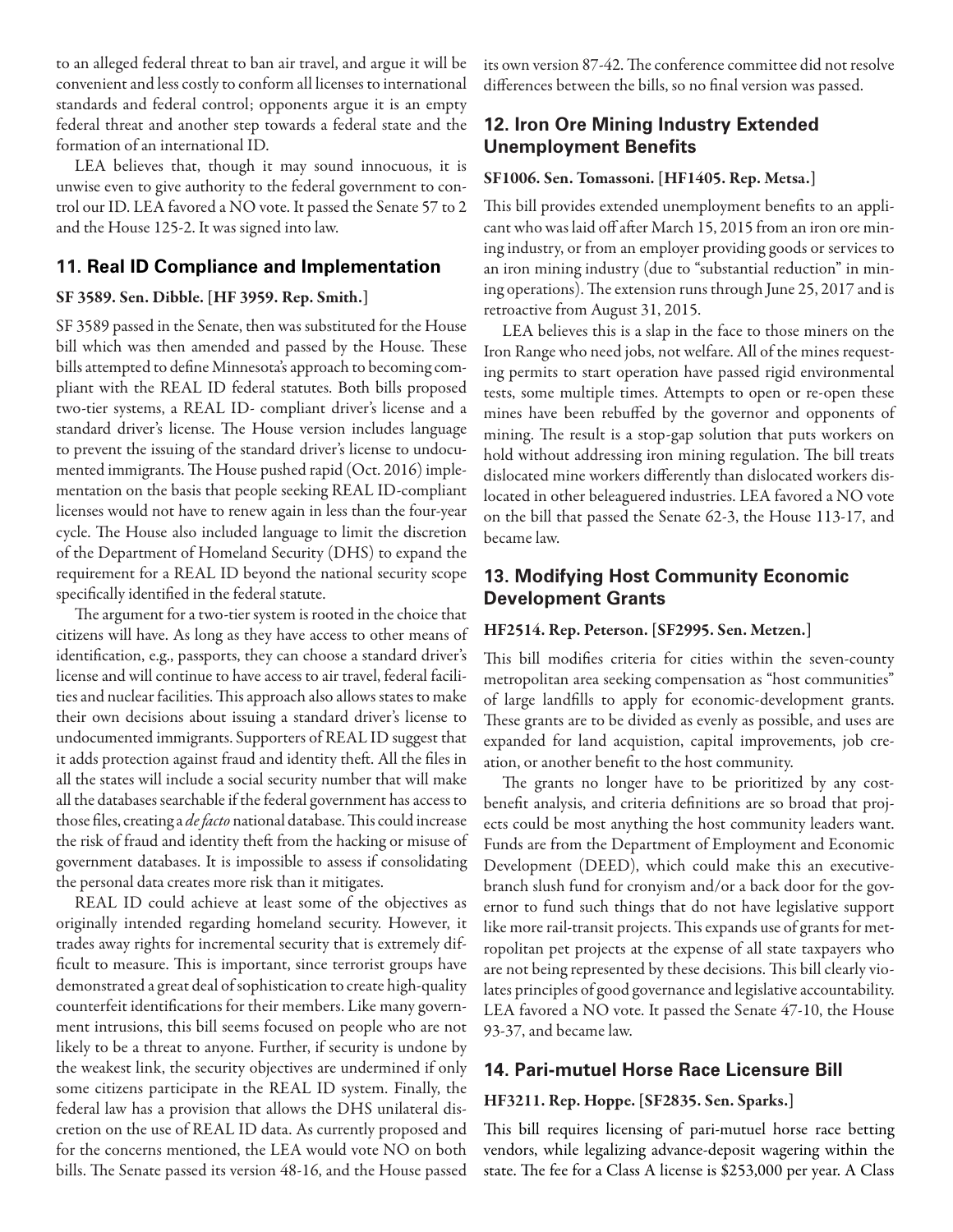to an alleged federal threat to ban air travel, and argue it will be convenient and less costly to conform all licenses to international standards and federal control; opponents argue it is an empty federal threat and another step towards a federal state and the formation of an international ID.

LEA believes that, though it may sound innocuous, it is unwise even to give authority to the federal government to control our ID. LEA favored a NO vote. It passed the Senate 57 to 2 and the House 125-2. It was signed into law.

## **11. Real ID Compliance and Implementation**

### SF 3589. Sen. Dibble. [HF 3959. Rep. Smith.]

SF 3589 passed in the Senate, then was substituted for the House bill which was then amended and passed by the House. These bills attempted to define Minnesota's approach to becoming compliant with the REAL ID federal statutes. Both bills proposed two-tier systems, a REAL ID- compliant driver's license and a standard driver's license. The House version includes language to prevent the issuing of the standard driver's license to undocumented immigrants. The House pushed rapid (Oct. 2016) implementation on the basis that people seeking REAL ID-compliant licenses would not have to renew again in less than the four-year cycle. The House also included language to limit the discretion of the Department of Homeland Security (DHS) to expand the requirement for a REAL ID beyond the national security scope specifically identified in the federal statute.

The argument for a two-tier system is rooted in the choice that citizens will have. As long as they have access to other means of identification, e.g., passports, they can choose a standard driver's license and will continue to have access to air travel, federal facilities and nuclear facilities. This approach also allows states to make their own decisions about issuing a standard driver's license to undocumented immigrants. Supporters of REAL ID suggest that it adds protection against fraud and identity theft. All the files in all the states will include a social security number that will make all the databases searchable if the federal government has access to those files, creating a *de facto* national database. This could increase the risk of fraud and identity theft from the hacking or misuse of government databases. It is impossible to assess if consolidating the personal data creates more risk than it mitigates.

REAL ID could achieve at least some of the objectives as originally intended regarding homeland security. However, it trades away rights for incremental security that is extremely difficult to measure. This is important, since terrorist groups have demonstrated a great deal of sophistication to create high-quality counterfeit identifications for their members. Like many government intrusions, this bill seems focused on people who are not likely to be a threat to anyone. Further, if security is undone by the weakest link, the security objectives are undermined if only some citizens participate in the REAL ID system. Finally, the federal law has a provision that allows the DHS unilateral discretion on the use of REAL ID data. As currently proposed and for the concerns mentioned, the LEA would vote NO on both bills. The Senate passed its version 48-16, and the House passed

its own version 87-42. The conference committee did not resolve differences between the bills, so no final version was passed.

## **12. Iron Ore Mining Industry Extended Unemployment Benefits**

### SF1006. Sen. Tomassoni. [HF1405. Rep. Metsa.]

This bill provides extended unemployment benefits to an applicant who was laid off after March 15, 2015 from an iron ore mining industry, or from an employer providing goods or services to an iron mining industry (due to "substantial reduction" in mining operations). The extension runs through June 25, 2017 and is retroactive from August 31, 2015.

LEA believes this is a slap in the face to those miners on the Iron Range who need jobs, not welfare. All of the mines requesting permits to start operation have passed rigid environmental tests, some multiple times. Attempts to open or re-open these mines have been rebuffed by the governor and opponents of mining. The result is a stop-gap solution that puts workers on hold without addressing iron mining regulation. The bill treats dislocated mine workers differently than dislocated workers dislocated in other beleaguered industries. LEA favored a NO vote on the bill that passed the Senate 62-3, the House 113-17, and became law.

## **13. Modifying Host Community Economic Development Grants**

### HF2514. Rep. Peterson. [SF2995. Sen. Metzen.]

This bill modifies criteria for cities within the seven-county metropolitan area seeking compensation as "host communities" of large landfills to apply for economic-development grants. These grants are to be divided as evenly as possible, and uses are expanded for land acquistion, capital improvements, job creation, or another benefit to the host community.

The grants no longer have to be prioritized by any costbenefit analysis, and criteria definitions are so broad that projects could be most anything the host community leaders want. Funds are from the Department of Employment and Economic Development (DEED), which could make this an executivebranch slush fund for cronyism and/or a back door for the governor to fund such things that do not have legislative support like more rail-transit projects. This expands use of grants for metropolitan pet projects at the expense of all state taxpayers who are not being represented by these decisions. This bill clearly violates principles of good governance and legislative accountability. LEA favored a NO vote. It passed the Senate 47-10, the House 93-37, and became law.

## **14. Pari-mutuel Horse Race Licensure Bill**

### HF3211. Rep. Hoppe. [SF2835. Sen. Sparks.]

This bill requires licensing of pari-mutuel horse race betting vendors, while legalizing advance-deposit wagering within the state. The fee for a Class A license is \$253,000 per year. A Class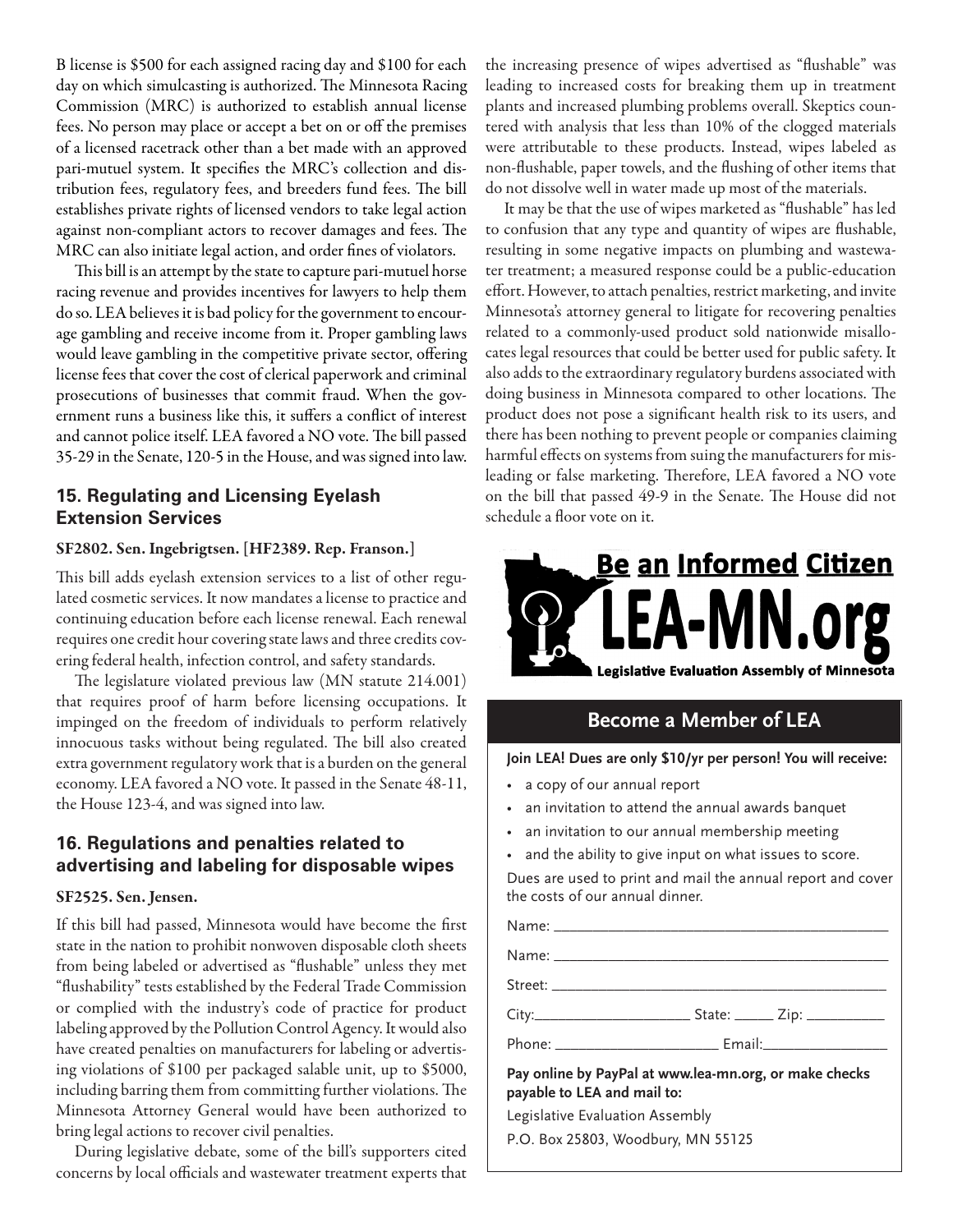B license is \$500 for each assigned racing day and \$100 for each day on which simulcasting is authorized. The Minnesota Racing Commission (MRC) is authorized to establish annual license fees. No person may place or accept a bet on or off the premises of a licensed racetrack other than a bet made with an approved pari-mutuel system. It specifies the MRC's collection and distribution fees, regulatory fees, and breeders fund fees. The bill establishes private rights of licensed vendors to take legal action against non-compliant actors to recover damages and fees. The MRC can also initiate legal action, and order fines of violators.

This bill is an attempt by the state to capture pari-mutuel horse racing revenue and provides incentives for lawyers to help them do so. LEA believes it is bad policy for the government to encourage gambling and receive income from it. Proper gambling laws would leave gambling in the competitive private sector, offering license fees that cover the cost of clerical paperwork and criminal prosecutions of businesses that commit fraud. When the government runs a business like this, it suffers a conflict of interest and cannot police itself. LEA favored a NO vote. The bill passed 35-29 in the Senate, 120-5 in the House, and was signed into law.

## **15. Regulating and Licensing Eyelash Extension Services**

### SF2802. Sen. Ingebrigtsen. [HF2389. Rep. Franson.]

This bill adds eyelash extension services to a list of other regulated cosmetic services. It now mandates a license to practice and continuing education before each license renewal. Each renewal requires one credit hour covering state laws and three credits covering federal health, infection control, and safety standards.

The legislature violated previous law (MN statute 214.001) that requires proof of harm before licensing occupations. It impinged on the freedom of individuals to perform relatively innocuous tasks without being regulated. The bill also created extra government regulatory work that is a burden on the general economy. LEA favored a NO vote. It passed in the Senate 48-11, the House 123-4, and was signed into law.

## **16. Regulations and penalties related to advertising and labeling for disposable wipes**

### SF2525. Sen. Jensen.

If this bill had passed, Minnesota would have become the first state in the nation to prohibit nonwoven disposable cloth sheets from being labeled or advertised as "flushable" unless they met "flushability" tests established by the Federal Trade Commission or complied with the industry's code of practice for product labeling approved by the Pollution Control Agency. It would also have created penalties on manufacturers for labeling or advertising violations of \$100 per packaged salable unit, up to \$5000, including barring them from committing further violations. The Minnesota Attorney General would have been authorized to bring legal actions to recover civil penalties.

During legislative debate, some of the bill's supporters cited concerns by local officials and wastewater treatment experts that the increasing presence of wipes advertised as "flushable" was leading to increased costs for breaking them up in treatment plants and increased plumbing problems overall. Skeptics countered with analysis that less than 10% of the clogged materials were attributable to these products. Instead, wipes labeled as non-flushable, paper towels, and the flushing of other items that do not dissolve well in water made up most of the materials.

It may be that the use of wipes marketed as "flushable" has led to confusion that any type and quantity of wipes are flushable, resulting in some negative impacts on plumbing and wastewater treatment; a measured response could be a public-education effort. However, to attach penalties, restrict marketing, and invite Minnesota's attorney general to litigate for recovering penalties related to a commonly-used product sold nationwide misallocates legal resources that could be better used for public safety. It also adds to the extraordinary regulatory burdens associated with doing business in Minnesota compared to other locations. The product does not pose a significant health risk to its users, and there has been nothing to prevent people or companies claiming harmful effects on systems from suing the manufacturers for misleading or false marketing. Therefore, LEA favored a NO vote on the bill that passed 49-9 in the Senate. The House did not schedule a floor vote on it.



## **Become a Member of LEA**

**Join LEA! Dues are only \$10/yr per person! You will receive:**

- a copy of our annual report
- an invitation to attend the annual awards banquet
- an invitation to our annual membership meeting

Name: \_\_\_\_\_\_\_\_\_\_\_\_\_\_\_\_\_\_\_\_\_\_\_\_\_\_\_\_\_\_\_\_\_\_\_\_\_\_\_\_\_\_\_

and the ability to give input on what issues to score.

Dues are used to print and mail the annual report and cover the costs of our annual dinner.

Name: \_\_\_\_\_\_\_\_\_\_\_\_\_\_\_\_\_\_\_\_\_\_\_\_\_\_\_\_\_\_\_\_\_\_\_\_\_\_\_\_\_\_\_

Street: \_\_\_\_\_\_\_\_\_\_\_\_\_\_\_\_\_\_\_\_\_\_\_\_\_\_\_\_\_\_\_\_\_\_\_\_\_\_\_\_\_\_\_

City:\_\_\_\_\_\_\_\_\_\_\_\_\_\_\_\_\_\_\_\_ State: \_\_\_\_\_ Zip: \_\_\_\_\_\_\_\_\_\_

Phone: \_\_\_\_\_\_\_\_\_\_\_\_\_\_\_\_\_\_\_\_\_\_\_\_\_\_\_\_\_\_\_\_\_ Email:\_\_\_\_\_\_\_\_\_\_\_\_\_\_\_\_\_\_\_\_\_\_\_\_\_\_\_\_\_\_\_\_\_\_

**Pay online by PayPal at www.lea-mn.org, or make checks payable to LEA and mail to:**

Legislative Evaluation Assembly

P.O. Box 25803, Woodbury, MN 55125